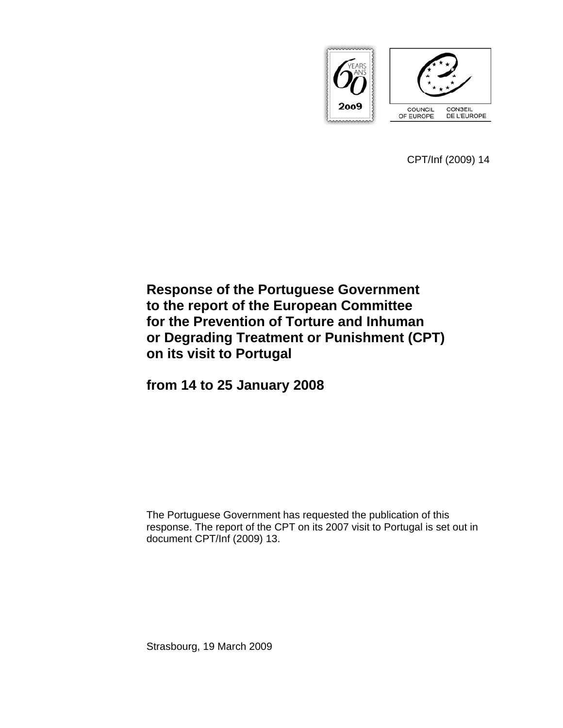

CPT/Inf (2009) 14

# **Response of the Portuguese Government to the report of the European Committee for the Prevention of Torture and Inhuman or Degrading Treatment or Punishment (CPT) on its visit to Portugal**

**from 14 to 25 January 2008** 

The Portuguese Government has requested the publication of this response. The report of the CPT on its 2007 visit to Portugal is set out in document CPT/Inf (2009) 13.

Strasbourg, 19 March 2009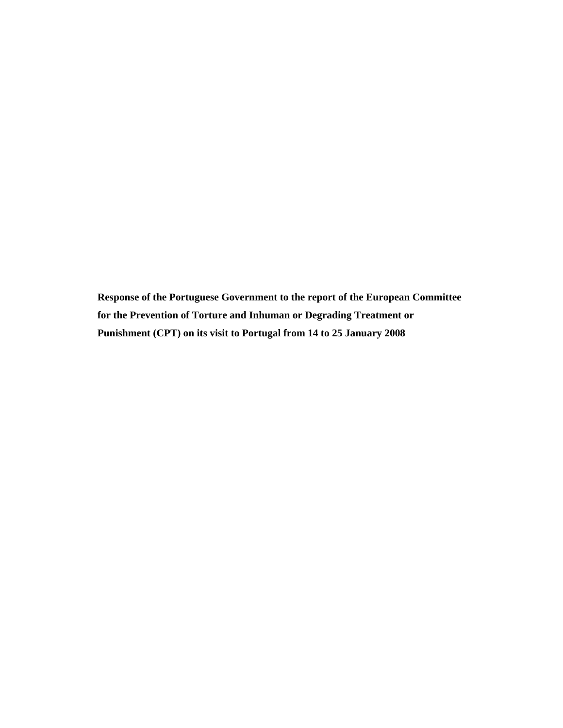**Response of the Portuguese Government to the report of the European Committee for the Prevention of Torture and Inhuman or Degrading Treatment or Punishment (CPT) on its visit to Portugal from 14 to 25 January 2008**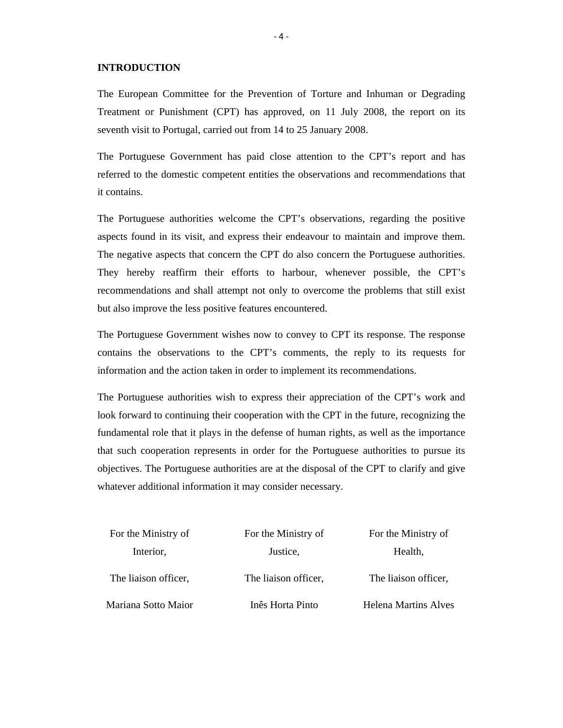#### **INTRODUCTION**

The European Committee for the Prevention of Torture and Inhuman or Degrading Treatment or Punishment (CPT) has approved, on 11 July 2008, the report on its seventh visit to Portugal, carried out from 14 to 25 January 2008.

The Portuguese Government has paid close attention to the CPT's report and has referred to the domestic competent entities the observations and recommendations that it contains.

The Portuguese authorities welcome the CPT's observations, regarding the positive aspects found in its visit, and express their endeavour to maintain and improve them. The negative aspects that concern the CPT do also concern the Portuguese authorities. They hereby reaffirm their efforts to harbour, whenever possible, the CPT's recommendations and shall attempt not only to overcome the problems that still exist but also improve the less positive features encountered.

The Portuguese Government wishes now to convey to CPT its response. The response contains the observations to the CPT's comments, the reply to its requests for information and the action taken in order to implement its recommendations.

The Portuguese authorities wish to express their appreciation of the CPT's work and look forward to continuing their cooperation with the CPT in the future, recognizing the fundamental role that it plays in the defense of human rights, as well as the importance that such cooperation represents in order for the Portuguese authorities to pursue its objectives. The Portuguese authorities are at the disposal of the CPT to clarify and give whatever additional information it may consider necessary.

| For the Ministry of  | For the Ministry of  | For the Ministry of  |
|----------------------|----------------------|----------------------|
| Interior,            | Justice,             | Health,              |
| The liaison officer, | The liaison officer, | The liaison officer, |
| Mariana Sotto Maior  | Inês Horta Pinto     | Helena Martins Alves |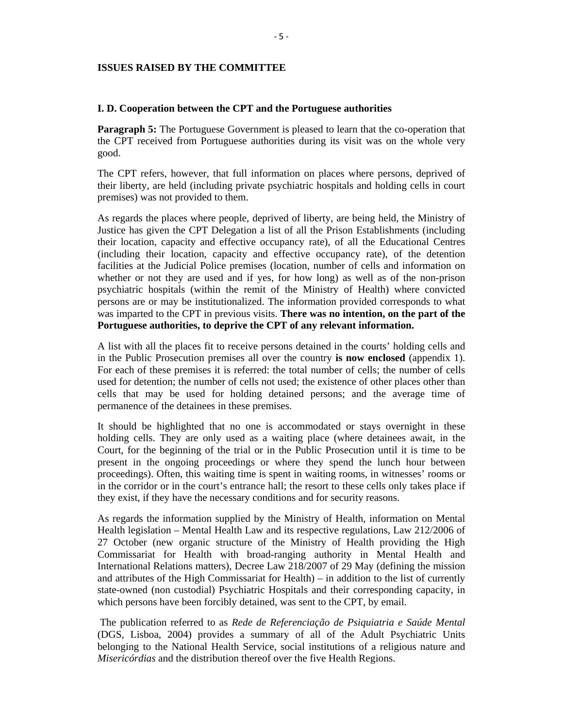# **ISSUES RAISED BY THE COMMITTEE**

#### **I. D. Cooperation between the CPT and the Portuguese authorities**

**Paragraph 5:** The Portuguese Government is pleased to learn that the co-operation that the CPT received from Portuguese authorities during its visit was on the whole very good.

The CPT refers, however, that full information on places where persons, deprived of their liberty, are held (including private psychiatric hospitals and holding cells in court premises) was not provided to them.

As regards the places where people, deprived of liberty, are being held, the Ministry of Justice has given the CPT Delegation a list of all the Prison Establishments (including their location, capacity and effective occupancy rate), of all the Educational Centres (including their location, capacity and effective occupancy rate), of the detention facilities at the Judicial Police premises (location, number of cells and information on whether or not they are used and if yes, for how long) as well as of the non-prison psychiatric hospitals (within the remit of the Ministry of Health) where convicted persons are or may be institutionalized. The information provided corresponds to what was imparted to the CPT in previous visits. **There was no intention, on the part of the Portuguese authorities, to deprive the CPT of any relevant information.** 

A list with all the places fit to receive persons detained in the courts' holding cells and in the Public Prosecution premises all over the country **is now enclosed** (appendix 1). For each of these premises it is referred: the total number of cells; the number of cells used for detention; the number of cells not used; the existence of other places other than cells that may be used for holding detained persons; and the average time of permanence of the detainees in these premises.

It should be highlighted that no one is accommodated or stays overnight in these holding cells. They are only used as a waiting place (where detainees await, in the Court, for the beginning of the trial or in the Public Prosecution until it is time to be present in the ongoing proceedings or where they spend the lunch hour between proceedings). Often, this waiting time is spent in waiting rooms, in witnesses' rooms or in the corridor or in the court's entrance hall; the resort to these cells only takes place if they exist, if they have the necessary conditions and for security reasons.

As regards the information supplied by the Ministry of Health, information on Mental Health legislation – Mental Health Law and its respective regulations, Law 212/2006 of 27 October (new organic structure of the Ministry of Health providing the High Commissariat for Health with broad-ranging authority in Mental Health and International Relations matters), Decree Law 218/2007 of 29 May (defining the mission and attributes of the High Commissariat for Health) – in addition to the list of currently state-owned (non custodial) Psychiatric Hospitals and their corresponding capacity, in which persons have been forcibly detained, was sent to the CPT, by email.

 The publication referred to as *Rede de Referenciação de Psiquiatria e Saúde Mental* (DGS, Lisboa, 2004) provides a summary of all of the Adult Psychiatric Units belonging to the National Health Service, social institutions of a religious nature and *Misericórdias* and the distribution thereof over the five Health Regions.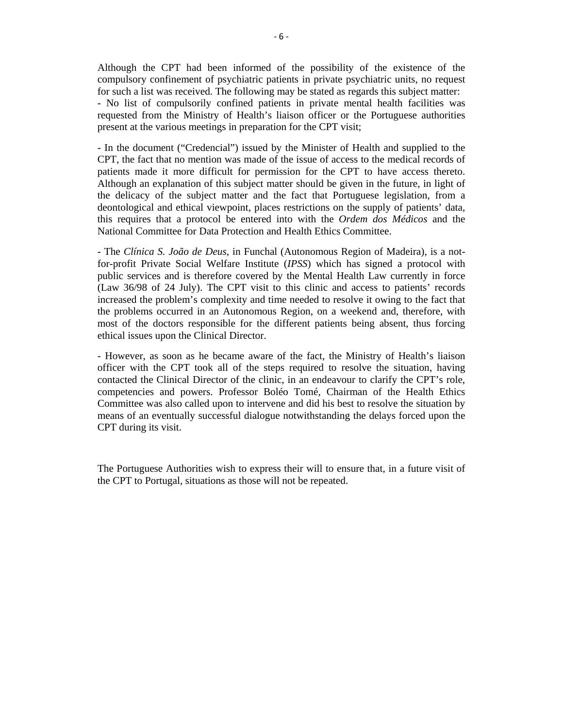Although the CPT had been informed of the possibility of the existence of the compulsory confinement of psychiatric patients in private psychiatric units, no request for such a list was received. The following may be stated as regards this subject matter: - No list of compulsorily confined patients in private mental health facilities was requested from the Ministry of Health's liaison officer or the Portuguese authorities present at the various meetings in preparation for the CPT visit;

- In the document ("Credencial") issued by the Minister of Health and supplied to the CPT, the fact that no mention was made of the issue of access to the medical records of patients made it more difficult for permission for the CPT to have access thereto. Although an explanation of this subject matter should be given in the future, in light of the delicacy of the subject matter and the fact that Portuguese legislation, from a deontological and ethical viewpoint, places restrictions on the supply of patients' data, this requires that a protocol be entered into with the *Ordem dos Médicos* and the National Committee for Data Protection and Health Ethics Committee.

- The *Clínica S. João de Deus*, in Funchal (Autonomous Region of Madeira), is a notfor-profit Private Social Welfare Institute (*IPSS*) which has signed a protocol with public services and is therefore covered by the Mental Health Law currently in force (Law 36/98 of 24 July). The CPT visit to this clinic and access to patients' records increased the problem's complexity and time needed to resolve it owing to the fact that the problems occurred in an Autonomous Region, on a weekend and, therefore, with most of the doctors responsible for the different patients being absent, thus forcing ethical issues upon the Clinical Director.

- However, as soon as he became aware of the fact, the Ministry of Health's liaison officer with the CPT took all of the steps required to resolve the situation, having contacted the Clinical Director of the clinic, in an endeavour to clarify the CPT's role, competencies and powers. Professor Boléo Tomé, Chairman of the Health Ethics Committee was also called upon to intervene and did his best to resolve the situation by means of an eventually successful dialogue notwithstanding the delays forced upon the CPT during its visit.

The Portuguese Authorities wish to express their will to ensure that, in a future visit of the CPT to Portugal, situations as those will not be repeated.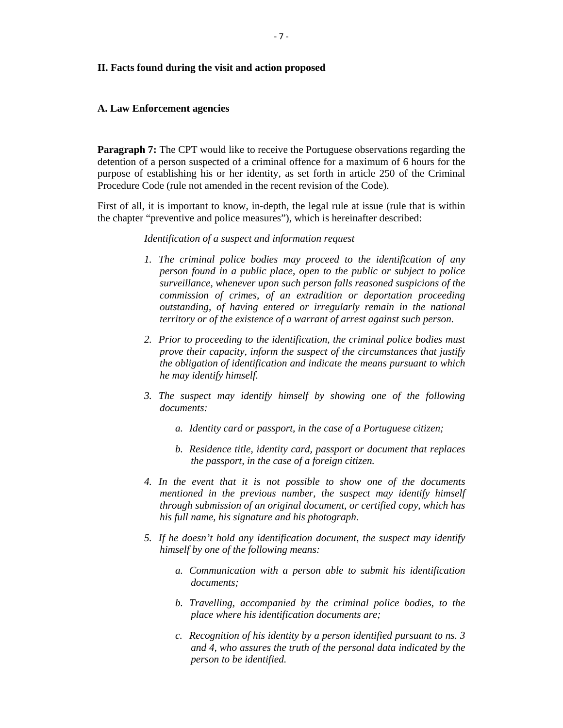#### **II. Facts found during the visit and action proposed**

#### **A. Law Enforcement agencies**

**Paragraph 7:** The CPT would like to receive the Portuguese observations regarding the detention of a person suspected of a criminal offence for a maximum of 6 hours for the purpose of establishing his or her identity, as set forth in article 250 of the Criminal Procedure Code (rule not amended in the recent revision of the Code).

First of all, it is important to know, in-depth, the legal rule at issue (rule that is within the chapter "preventive and police measures"), which is hereinafter described:

#### *Identification of a suspect and information request*

- *1. The criminal police bodies may proceed to the identification of any person found in a public place, open to the public or subject to police surveillance, whenever upon such person falls reasoned suspicions of the commission of crimes, of an extradition or deportation proceeding outstanding, of having entered or irregularly remain in the national territory or of the existence of a warrant of arrest against such person.*
- *2. Prior to proceeding to the identification, the criminal police bodies must prove their capacity, inform the suspect of the circumstances that justify the obligation of identification and indicate the means pursuant to which he may identify himself.*
- *3. The suspect may identify himself by showing one of the following documents:* 
	- *a. Identity card or passport, in the case of a Portuguese citizen;*
	- *b. Residence title, identity card, passport or document that replaces the passport, in the case of a foreign citizen.*
- *4. In the event that it is not possible to show one of the documents mentioned in the previous number, the suspect may identify himself through submission of an original document, or certified copy, which has his full name, his signature and his photograph.*
- *5. If he doesn't hold any identification document, the suspect may identify himself by one of the following means:* 
	- *a. Communication with a person able to submit his identification documents;*
	- *b. Travelling, accompanied by the criminal police bodies, to the place where his identification documents are;*
	- *c. Recognition of his identity by a person identified pursuant to ns. 3 and 4, who assures the truth of the personal data indicated by the person to be identified.*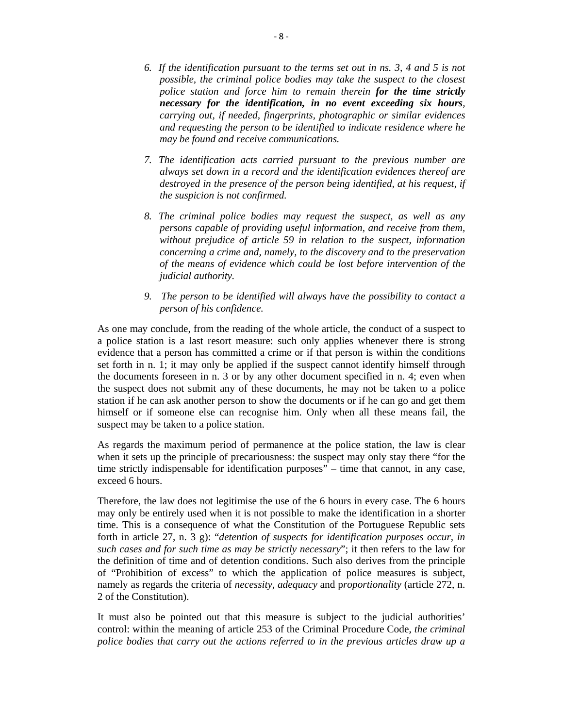- *6. If the identification pursuant to the terms set out in ns. 3, 4 and 5 is not possible, the criminal police bodies may take the suspect to the closest police station and force him to remain therein for the time strictly necessary for the identification, in no event exceeding six hours, carrying out, if needed, fingerprints, photographic or similar evidences and requesting the person to be identified to indicate residence where he may be found and receive communications.*
- *7. The identification acts carried pursuant to the previous number are always set down in a record and the identification evidences thereof are destroyed in the presence of the person being identified, at his request, if the suspicion is not confirmed.*
- *8. The criminal police bodies may request the suspect, as well as any persons capable of providing useful information, and receive from them, without prejudice of article 59 in relation to the suspect, information concerning a crime and, namely, to the discovery and to the preservation of the means of evidence which could be lost before intervention of the judicial authority.*
- *9. The person to be identified will always have the possibility to contact a person of his confidence.*

As one may conclude, from the reading of the whole article, the conduct of a suspect to a police station is a last resort measure: such only applies whenever there is strong evidence that a person has committed a crime or if that person is within the conditions set forth in n. 1; it may only be applied if the suspect cannot identify himself through the documents foreseen in n. 3 or by any other document specified in n. 4; even when the suspect does not submit any of these documents, he may not be taken to a police station if he can ask another person to show the documents or if he can go and get them himself or if someone else can recognise him. Only when all these means fail, the suspect may be taken to a police station.

As regards the maximum period of permanence at the police station, the law is clear when it sets up the principle of precariousness: the suspect may only stay there "for the time strictly indispensable for identification purposes" – time that cannot, in any case, exceed 6 hours.

Therefore, the law does not legitimise the use of the 6 hours in every case. The 6 hours may only be entirely used when it is not possible to make the identification in a shorter time. This is a consequence of what the Constitution of the Portuguese Republic sets forth in article 27, n. 3 g): "*detention of suspects for identification purposes occur, in such cases and for such time as may be strictly necessary*"; it then refers to the law for the definition of time and of detention conditions. Such also derives from the principle of "Prohibition of excess" to which the application of police measures is subject, namely as regards the criteria of *necessity*, *adequacy* and p*roportionality* (article 272, n. 2 of the Constitution).

It must also be pointed out that this measure is subject to the judicial authorities' control: within the meaning of article 253 of the Criminal Procedure Code, *the criminal police bodies that carry out the actions referred to in the previous articles draw up a*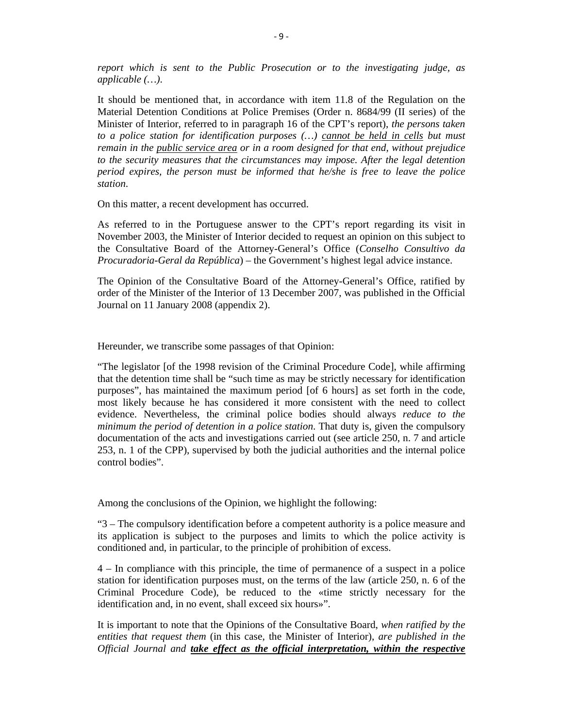*report which is sent to the Public Prosecution or to the investigating judge, as applicable (…)*.

It should be mentioned that, in accordance with item 11.8 of the Regulation on the Material Detention Conditions at Police Premises (Order n. 8684/99 (II series) of the Minister of Interior, referred to in paragraph 16 of the CPT's report), *the persons taken to a police station for identification purposes (…) cannot be held in cells but must remain in the public service area or in a room designed for that end, without prejudice to the security measures that the circumstances may impose. After the legal detention period expires, the person must be informed that he/she is free to leave the police station*.

On this matter, a recent development has occurred.

As referred to in the Portuguese answer to the CPT's report regarding its visit in November 2003, the Minister of Interior decided to request an opinion on this subject to the Consultative Board of the Attorney-General's Office (*Conselho Consultivo da Procuradoria-Geral da República*) – the Government's highest legal advice instance.

The Opinion of the Consultative Board of the Attorney-General's Office, ratified by order of the Minister of the Interior of 13 December 2007, was published in the Official Journal on 11 January 2008 (appendix 2).

Hereunder, we transcribe some passages of that Opinion:

"The legislator [of the 1998 revision of the Criminal Procedure Code], while affirming that the detention time shall be "such time as may be strictly necessary for identification purposes", has maintained the maximum period [of 6 hours] as set forth in the code, most likely because he has considered it more consistent with the need to collect evidence. Nevertheless, the criminal police bodies should always *reduce to the minimum the period of detention in a police station*. That duty is, given the compulsory documentation of the acts and investigations carried out (see article 250, n. 7 and article 253, n. 1 of the CPP), supervised by both the judicial authorities and the internal police control bodies".

Among the conclusions of the Opinion, we highlight the following:

"3 – The compulsory identification before a competent authority is a police measure and its application is subject to the purposes and limits to which the police activity is conditioned and, in particular, to the principle of prohibition of excess.

4 – In compliance with this principle, the time of permanence of a suspect in a police station for identification purposes must, on the terms of the law (article 250, n. 6 of the Criminal Procedure Code), be reduced to the «time strictly necessary for the identification and, in no event, shall exceed six hours»".

It is important to note that the Opinions of the Consultative Board, *when ratified by the entities that request them* (in this case, the Minister of Interior), *are published in the Official Journal and take effect as the official interpretation, within the respective*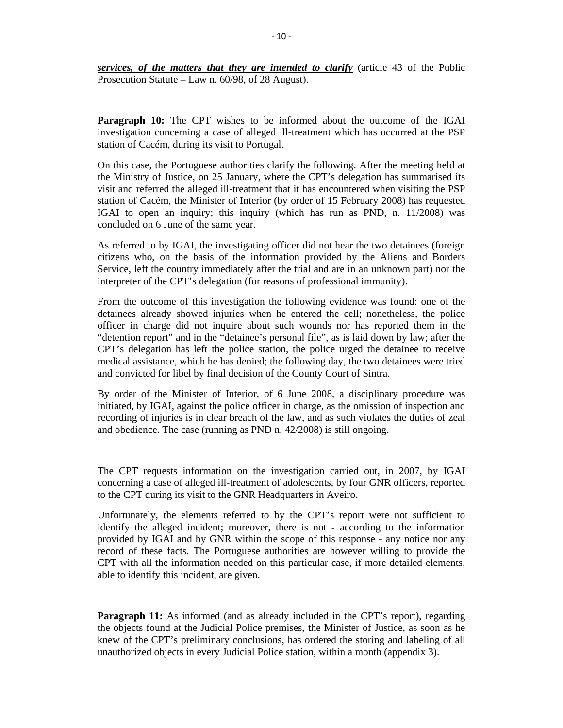*services, of the matters that they are intended to clarify* (article 43 of the Public Prosecution Statute – Law n. 60/98, of 28 August).

**Paragraph 10:** The CPT wishes to be informed about the outcome of the IGAI investigation concerning a case of alleged ill-treatment which has occurred at the PSP station of Cacém, during its visit to Portugal.

On this case, the Portuguese authorities clarify the following. After the meeting held at the Ministry of Justice, on 25 January, where the CPT's delegation has summarised its visit and referred the alleged ill-treatment that it has encountered when visiting the PSP station of Cacém, the Minister of Interior (by order of 15 February 2008) has requested IGAI to open an inquiry; this inquiry (which has run as PND, n. 11/2008) was concluded on 6 June of the same year.

As referred to by IGAI, the investigating officer did not hear the two detainees (foreign citizens who, on the basis of the information provided by the Aliens and Borders Service, left the country immediately after the trial and are in an unknown part) nor the interpreter of the CPT's delegation (for reasons of professional immunity).

From the outcome of this investigation the following evidence was found: one of the detainees already showed injuries when he entered the cell; nonetheless, the police officer in charge did not inquire about such wounds nor has reported them in the "detention report" and in the "detainee's personal file", as is laid down by law; after the CPT's delegation has left the police station, the police urged the detainee to receive medical assistance, which he has denied; the following day, the two detainees were tried and convicted for libel by final decision of the County Court of Sintra.

By order of the Minister of Interior, of 6 June 2008, a disciplinary procedure was initiated, by IGAI, against the police officer in charge, as the omission of inspection and recording of injuries is in clear breach of the law, and as such violates the duties of zeal and obedience. The case (running as PND n. 42/2008) is still ongoing.

The CPT requests information on the investigation carried out, in 2007, by IGAI concerning a case of alleged ill-treatment of adolescents, by four GNR officers, reported to the CPT during its visit to the GNR Headquarters in Aveiro.

Unfortunately, the elements referred to by the CPT's report were not sufficient to identify the alleged incident; moreover, there is not - according to the information provided by IGAI and by GNR within the scope of this response - any notice nor any record of these facts. The Portuguese authorities are however willing to provide the CPT with all the information needed on this particular case, if more detailed elements, able to identify this incident, are given.

**Paragraph 11:** As informed (and as already included in the CPT's report), regarding the objects found at the Judicial Police premises, the Minister of Justice, as soon as he knew of the CPT's preliminary conclusions, has ordered the storing and labeling of all unauthorized objects in every Judicial Police station, within a month (appendix 3).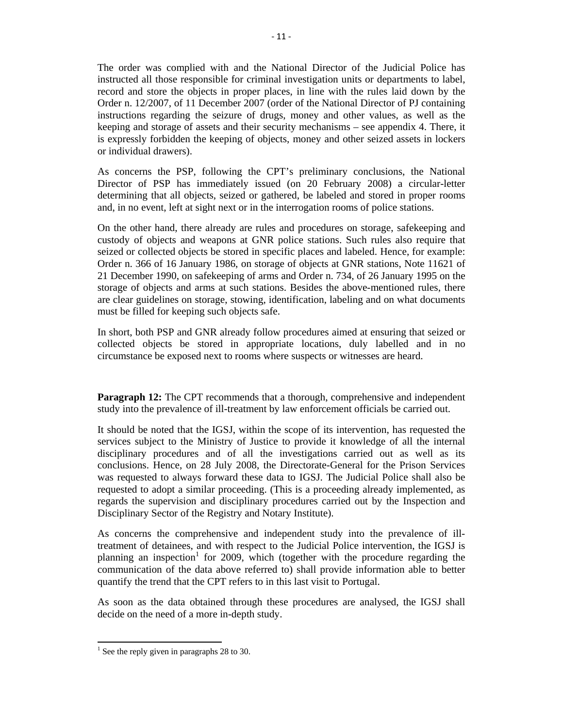The order was complied with and the National Director of the Judicial Police has instructed all those responsible for criminal investigation units or departments to label, record and store the objects in proper places, in line with the rules laid down by the Order n. 12/2007, of 11 December 2007 (order of the National Director of PJ containing instructions regarding the seizure of drugs, money and other values, as well as the keeping and storage of assets and their security mechanisms – see appendix 4. There, it is expressly forbidden the keeping of objects, money and other seized assets in lockers or individual drawers).

As concerns the PSP, following the CPT's preliminary conclusions, the National Director of PSP has immediately issued (on 20 February 2008) a circular-letter determining that all objects, seized or gathered, be labeled and stored in proper rooms and, in no event, left at sight next or in the interrogation rooms of police stations.

On the other hand, there already are rules and procedures on storage, safekeeping and custody of objects and weapons at GNR police stations. Such rules also require that seized or collected objects be stored in specific places and labeled. Hence, for example: Order n. 366 of 16 January 1986, on storage of objects at GNR stations, Note 11621 of 21 December 1990, on safekeeping of arms and Order n. 734, of 26 January 1995 on the storage of objects and arms at such stations. Besides the above-mentioned rules, there are clear guidelines on storage, stowing, identification, labeling and on what documents must be filled for keeping such objects safe.

In short, both PSP and GNR already follow procedures aimed at ensuring that seized or collected objects be stored in appropriate locations, duly labelled and in no circumstance be exposed next to rooms where suspects or witnesses are heard.

**Paragraph 12:** The CPT recommends that a thorough, comprehensive and independent study into the prevalence of ill-treatment by law enforcement officials be carried out.

It should be noted that the IGSJ, within the scope of its intervention, has requested the services subject to the Ministry of Justice to provide it knowledge of all the internal disciplinary procedures and of all the investigations carried out as well as its conclusions. Hence, on 28 July 2008, the Directorate-General for the Prison Services was requested to always forward these data to IGSJ. The Judicial Police shall also be requested to adopt a similar proceeding. (This is a proceeding already implemented, as regards the supervision and disciplinary procedures carried out by the Inspection and Disciplinary Sector of the Registry and Notary Institute).

As concerns the comprehensive and independent study into the prevalence of illtreatment of detainees, and with respect to the Judicial Police intervention, the IGSJ is planning an inspection<sup>1</sup> for 2009, which (together with the procedure regarding the communication of the data above referred to) shall provide information able to better quantify the trend that the CPT refers to in this last visit to Portugal.

As soon as the data obtained through these procedures are analysed, the IGSJ shall decide on the need of a more in-depth study.

<sup>&</sup>lt;sup>1</sup> See the reply given in paragraphs 28 to 30.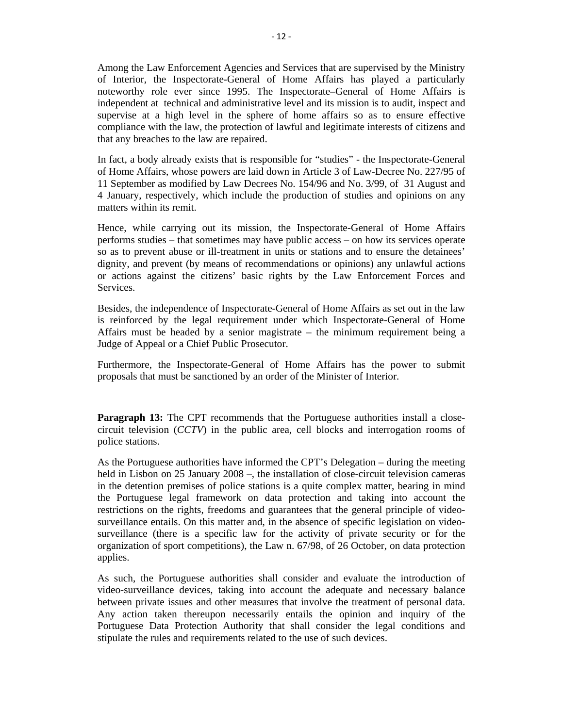Among the Law Enforcement Agencies and Services that are supervised by the Ministry of Interior, the Inspectorate-General of Home Affairs has played a particularly noteworthy role ever since 1995. The Inspectorate–General of Home Affairs is independent at technical and administrative level and its mission is to audit, inspect and supervise at a high level in the sphere of home affairs so as to ensure effective compliance with the law, the protection of lawful and legitimate interests of citizens and that any breaches to the law are repaired.

In fact, a body already exists that is responsible for "studies" - the Inspectorate-General of Home Affairs, whose powers are laid down in Article 3 of Law-Decree No. 227/95 of 11 September as modified by Law Decrees No. 154/96 and No. 3/99, of 31 August and 4 January, respectively, which include the production of studies and opinions on any matters within its remit.

Hence, while carrying out its mission, the Inspectorate-General of Home Affairs performs studies – that sometimes may have public access – on how its services operate so as to prevent abuse or ill-treatment in units or stations and to ensure the detainees' dignity, and prevent (by means of recommendations or opinions) any unlawful actions or actions against the citizens' basic rights by the Law Enforcement Forces and Services.

Besides, the independence of Inspectorate-General of Home Affairs as set out in the law is reinforced by the legal requirement under which Inspectorate-General of Home Affairs must be headed by a senior magistrate – the minimum requirement being a Judge of Appeal or a Chief Public Prosecutor.

Furthermore, the Inspectorate-General of Home Affairs has the power to submit proposals that must be sanctioned by an order of the Minister of Interior.

**Paragraph 13:** The CPT recommends that the Portuguese authorities install a closecircuit television (*CCTV*) in the public area, cell blocks and interrogation rooms of police stations.

As the Portuguese authorities have informed the CPT's Delegation – during the meeting held in Lisbon on 25 January 2008 –, the installation of close-circuit television cameras in the detention premises of police stations is a quite complex matter, bearing in mind the Portuguese legal framework on data protection and taking into account the restrictions on the rights, freedoms and guarantees that the general principle of videosurveillance entails. On this matter and, in the absence of specific legislation on videosurveillance (there is a specific law for the activity of private security or for the organization of sport competitions), the Law n. 67/98, of 26 October, on data protection applies.

As such, the Portuguese authorities shall consider and evaluate the introduction of video-surveillance devices, taking into account the adequate and necessary balance between private issues and other measures that involve the treatment of personal data. Any action taken thereupon necessarily entails the opinion and inquiry of the Portuguese Data Protection Authority that shall consider the legal conditions and stipulate the rules and requirements related to the use of such devices.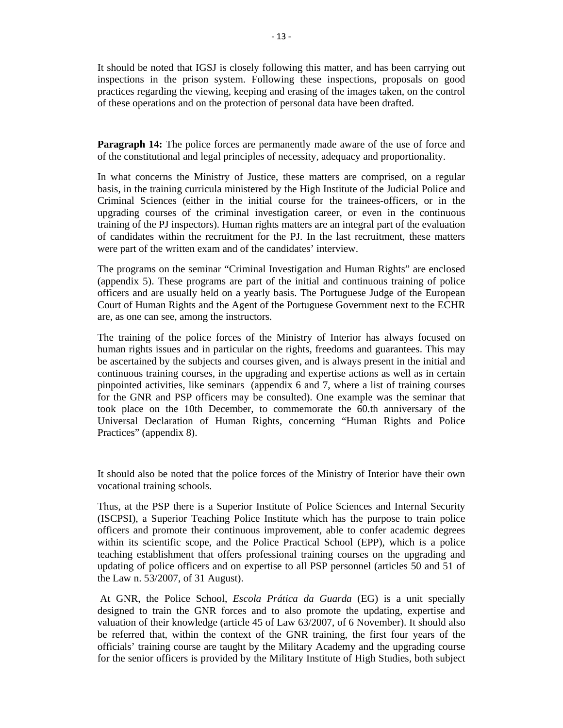It should be noted that IGSJ is closely following this matter, and has been carrying out inspections in the prison system. Following these inspections, proposals on good practices regarding the viewing, keeping and erasing of the images taken, on the control of these operations and on the protection of personal data have been drafted.

**Paragraph 14:** The police forces are permanently made aware of the use of force and of the constitutional and legal principles of necessity, adequacy and proportionality.

In what concerns the Ministry of Justice, these matters are comprised, on a regular basis, in the training curricula ministered by the High Institute of the Judicial Police and Criminal Sciences (either in the initial course for the trainees-officers, or in the upgrading courses of the criminal investigation career, or even in the continuous training of the PJ inspectors). Human rights matters are an integral part of the evaluation of candidates within the recruitment for the PJ. In the last recruitment, these matters were part of the written exam and of the candidates' interview.

The programs on the seminar "Criminal Investigation and Human Rights" are enclosed (appendix 5). These programs are part of the initial and continuous training of police officers and are usually held on a yearly basis. The Portuguese Judge of the European Court of Human Rights and the Agent of the Portuguese Government next to the ECHR are, as one can see, among the instructors.

The training of the police forces of the Ministry of Interior has always focused on human rights issues and in particular on the rights, freedoms and guarantees. This may be ascertained by the subjects and courses given, and is always present in the initial and continuous training courses, in the upgrading and expertise actions as well as in certain pinpointed activities, like seminars (appendix 6 and 7, where a list of training courses for the GNR and PSP officers may be consulted). One example was the seminar that took place on the 10th December, to commemorate the 60.th anniversary of the Universal Declaration of Human Rights, concerning "Human Rights and Police Practices" (appendix 8).

It should also be noted that the police forces of the Ministry of Interior have their own vocational training schools.

Thus, at the PSP there is a Superior Institute of Police Sciences and Internal Security (ISCPSI), a Superior Teaching Police Institute which has the purpose to train police officers and promote their continuous improvement, able to confer academic degrees within its scientific scope, and the Police Practical School (EPP), which is a police teaching establishment that offers professional training courses on the upgrading and updating of police officers and on expertise to all PSP personnel (articles 50 and 51 of the Law n. 53/2007, of 31 August).

 At GNR, the Police School, *Escola Prática da Guarda* (EG) is a unit specially designed to train the GNR forces and to also promote the updating, expertise and valuation of their knowledge (article 45 of Law 63/2007, of 6 November). It should also be referred that, within the context of the GNR training, the first four years of the officials' training course are taught by the Military Academy and the upgrading course for the senior officers is provided by the Military Institute of High Studies, both subject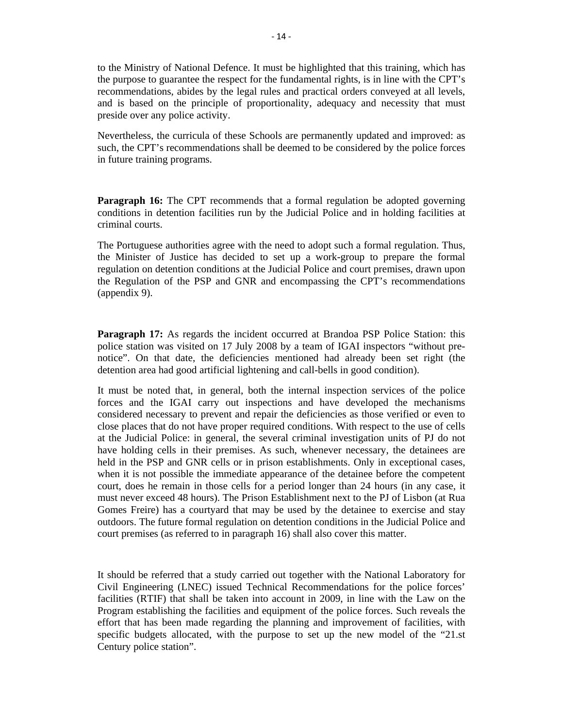to the Ministry of National Defence. It must be highlighted that this training, which has the purpose to guarantee the respect for the fundamental rights, is in line with the CPT's recommendations, abides by the legal rules and practical orders conveyed at all levels, and is based on the principle of proportionality, adequacy and necessity that must preside over any police activity.

Nevertheless, the curricula of these Schools are permanently updated and improved: as such, the CPT's recommendations shall be deemed to be considered by the police forces in future training programs.

**Paragraph 16:** The CPT recommends that a formal regulation be adopted governing conditions in detention facilities run by the Judicial Police and in holding facilities at criminal courts.

The Portuguese authorities agree with the need to adopt such a formal regulation. Thus, the Minister of Justice has decided to set up a work-group to prepare the formal regulation on detention conditions at the Judicial Police and court premises, drawn upon the Regulation of the PSP and GNR and encompassing the CPT's recommendations (appendix 9).

**Paragraph 17:** As regards the incident occurred at Brandoa PSP Police Station: this police station was visited on 17 July 2008 by a team of IGAI inspectors "without prenotice". On that date, the deficiencies mentioned had already been set right (the detention area had good artificial lightening and call-bells in good condition).

It must be noted that, in general, both the internal inspection services of the police forces and the IGAI carry out inspections and have developed the mechanisms considered necessary to prevent and repair the deficiencies as those verified or even to close places that do not have proper required conditions. With respect to the use of cells at the Judicial Police: in general, the several criminal investigation units of PJ do not have holding cells in their premises. As such, whenever necessary, the detainees are held in the PSP and GNR cells or in prison establishments. Only in exceptional cases, when it is not possible the immediate appearance of the detainee before the competent court, does he remain in those cells for a period longer than 24 hours (in any case, it must never exceed 48 hours). The Prison Establishment next to the PJ of Lisbon (at Rua Gomes Freire) has a courtyard that may be used by the detainee to exercise and stay outdoors. The future formal regulation on detention conditions in the Judicial Police and court premises (as referred to in paragraph 16) shall also cover this matter.

It should be referred that a study carried out together with the National Laboratory for Civil Engineering (LNEC) issued Technical Recommendations for the police forces' facilities (RTIF) that shall be taken into account in 2009, in line with the Law on the Program establishing the facilities and equipment of the police forces. Such reveals the effort that has been made regarding the planning and improvement of facilities, with specific budgets allocated, with the purpose to set up the new model of the "21.st Century police station".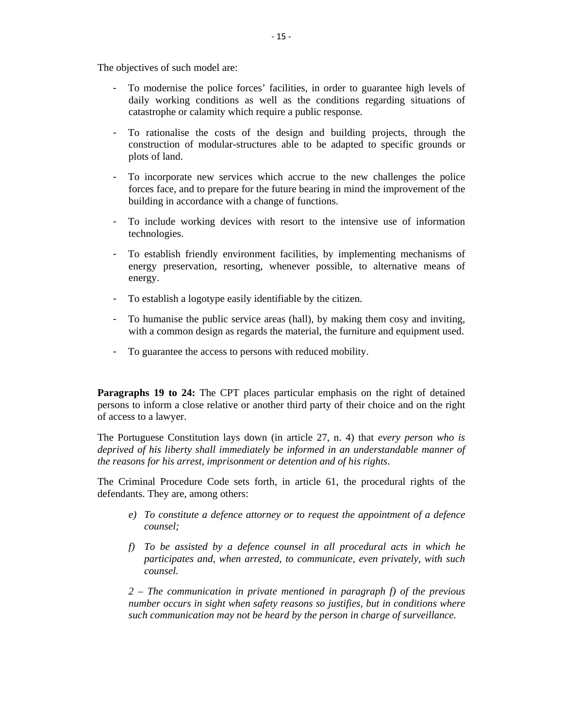The objectives of such model are:

- To modernise the police forces' facilities, in order to guarantee high levels of daily working conditions as well as the conditions regarding situations of catastrophe or calamity which require a public response.
- To rationalise the costs of the design and building projects, through the construction of modular-structures able to be adapted to specific grounds or plots of land.
- To incorporate new services which accrue to the new challenges the police forces face, and to prepare for the future bearing in mind the improvement of the building in accordance with a change of functions.
- To include working devices with resort to the intensive use of information technologies.
- To establish friendly environment facilities, by implementing mechanisms of energy preservation, resorting, whenever possible, to alternative means of energy.
- To establish a logotype easily identifiable by the citizen.
- To humanise the public service areas (hall), by making them cosy and inviting, with a common design as regards the material, the furniture and equipment used.
- To guarantee the access to persons with reduced mobility.

**Paragraphs 19 to 24:** The CPT places particular emphasis on the right of detained persons to inform a close relative or another third party of their choice and on the right of access to a lawyer.

The Portuguese Constitution lays down (in article 27, n. 4) that *every person who is deprived of his liberty shall immediately be informed in an understandable manner of the reasons for his arrest, imprisonment or detention and of his rights*.

The Criminal Procedure Code sets forth, in article 61, the procedural rights of the defendants. They are, among others:

- *e) To constitute a defence attorney or to request the appointment of a defence counsel;*
- *f) To be assisted by a defence counsel in all procedural acts in which he participates and, when arrested, to communicate, even privately, with such counsel.*

*2 – The communication in private mentioned in paragraph f) of the previous number occurs in sight when safety reasons so justifies, but in conditions where such communication may not be heard by the person in charge of surveillance.*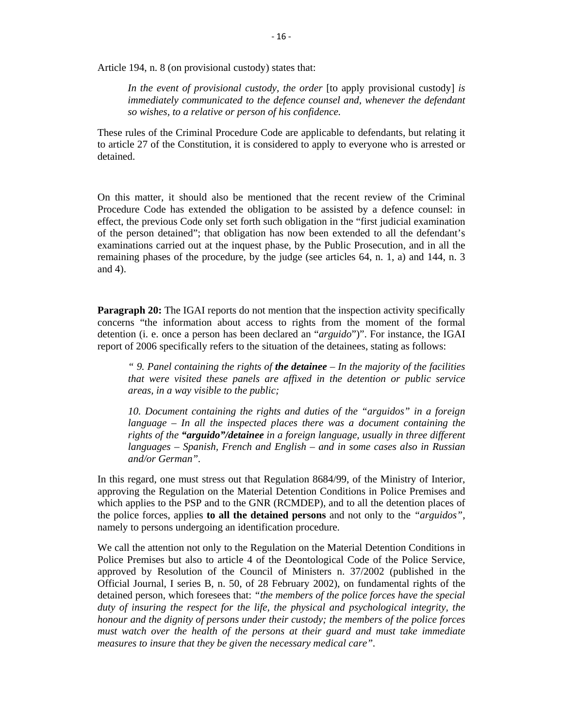Article 194, n. 8 (on provisional custody) states that:

*In the event of provisional custody, the order* [to apply provisional custody] *is immediately communicated to the defence counsel and, whenever the defendant so wishes, to a relative or person of his confidence.* 

These rules of the Criminal Procedure Code are applicable to defendants, but relating it to article 27 of the Constitution, it is considered to apply to everyone who is arrested or detained.

On this matter, it should also be mentioned that the recent review of the Criminal Procedure Code has extended the obligation to be assisted by a defence counsel: in effect, the previous Code only set forth such obligation in the "first judicial examination of the person detained"; that obligation has now been extended to all the defendant's examinations carried out at the inquest phase, by the Public Prosecution, and in all the remaining phases of the procedure, by the judge (see articles 64, n. 1, a) and 144, n. 3 and 4).

**Paragraph 20:** The IGAI reports do not mention that the inspection activity specifically concerns "the information about access to rights from the moment of the formal detention (i. e. once a person has been declared an "*arguido*")". For instance, the IGAI report of 2006 specifically refers to the situation of the detainees, stating as follows:

*" 9. Panel containing the rights of the detainee – In the majority of the facilities that were visited these panels are affixed in the detention or public service areas, in a way visible to the public;* 

*10. Document containing the rights and duties of the "arguidos" in a foreign language – In all the inspected places there was a document containing the rights of the "arguido"/detainee in a foreign language, usually in three different languages – Spanish, French and English – and in some cases also in Russian and/or German".* 

In this regard, one must stress out that Regulation 8684/99, of the Ministry of Interior, approving the Regulation on the Material Detention Conditions in Police Premises and which applies to the PSP and to the GNR (RCMDEP), and to all the detention places of the police forces, applies **to all the detained persons** and not only to the *"arguidos"*, namely to persons undergoing an identification procedure.

We call the attention not only to the Regulation on the Material Detention Conditions in Police Premises but also to article 4 of the Deontological Code of the Police Service, approved by Resolution of the Council of Ministers n. 37/2002 (published in the Official Journal, I series B, n. 50, of 28 February 2002), on fundamental rights of the detained person, which foresees that: *"the members of the police forces have the special duty of insuring the respect for the life, the physical and psychological integrity, the honour and the dignity of persons under their custody; the members of the police forces*  must watch over the health of the persons at their guard and must take immediate *measures to insure that they be given the necessary medical care".*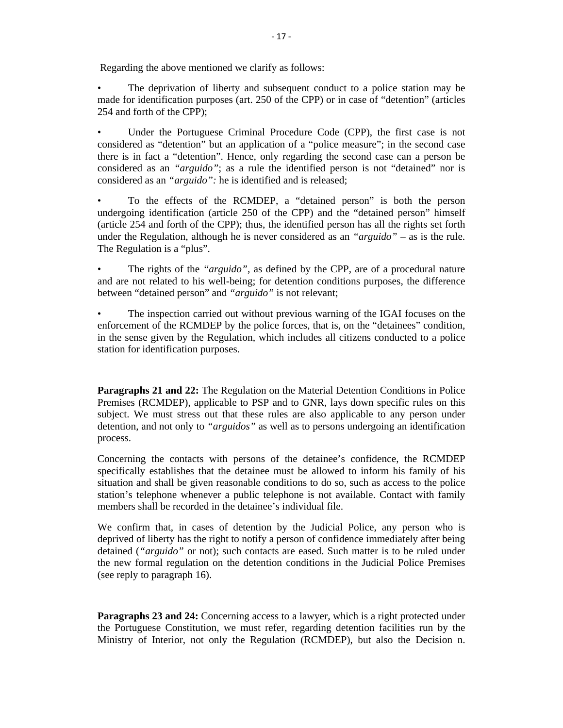Regarding the above mentioned we clarify as follows:

• The deprivation of liberty and subsequent conduct to a police station may be made for identification purposes (art. 250 of the CPP) or in case of "detention" (articles 254 and forth of the CPP);

Under the Portuguese Criminal Procedure Code (CPP), the first case is not considered as "detention" but an application of a "police measure"; in the second case there is in fact a "detention". Hence, only regarding the second case can a person be considered as an *"arguido"*; as a rule the identified person is not "detained" nor is considered as an *"arguido":* he is identified and is released;

• To the effects of the RCMDEP, a "detained person" is both the person undergoing identification (article 250 of the CPP) and the "detained person" himself (article 254 and forth of the CPP); thus, the identified person has all the rights set forth under the Regulation, although he is never considered as an *"arguido"* – as is the rule. The Regulation is a "plus".

• The rights of the *"arguido"*, as defined by the CPP, are of a procedural nature and are not related to his well-being; for detention conditions purposes, the difference between "detained person" and *"arguido"* is not relevant;

The inspection carried out without previous warning of the IGAI focuses on the enforcement of the RCMDEP by the police forces, that is, on the "detainees" condition, in the sense given by the Regulation, which includes all citizens conducted to a police station for identification purposes.

**Paragraphs 21 and 22:** The Regulation on the Material Detention Conditions in Police Premises (RCMDEP), applicable to PSP and to GNR, lays down specific rules on this subject. We must stress out that these rules are also applicable to any person under detention, and not only to *"arguidos"* as well as to persons undergoing an identification process.

Concerning the contacts with persons of the detainee's confidence, the RCMDEP specifically establishes that the detainee must be allowed to inform his family of his situation and shall be given reasonable conditions to do so, such as access to the police station's telephone whenever a public telephone is not available. Contact with family members shall be recorded in the detainee's individual file.

We confirm that, in cases of detention by the Judicial Police, any person who is deprived of liberty has the right to notify a person of confidence immediately after being detained (*"arguido"* or not); such contacts are eased. Such matter is to be ruled under the new formal regulation on the detention conditions in the Judicial Police Premises (see reply to paragraph 16).

**Paragraphs 23 and 24:** Concerning access to a lawyer, which is a right protected under the Portuguese Constitution, we must refer, regarding detention facilities run by the Ministry of Interior, not only the Regulation (RCMDEP), but also the Decision n.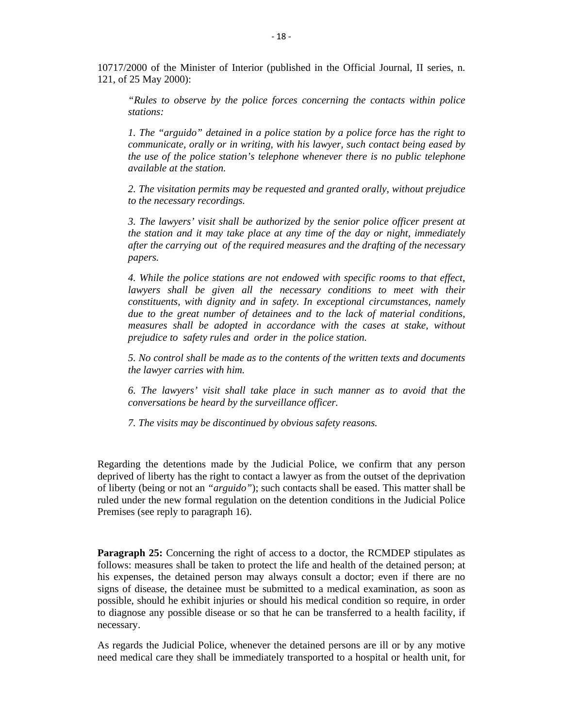10717/2000 of the Minister of Interior (published in the Official Journal, II series, n. 121, of 25 May 2000):

*"Rules to observe by the police forces concerning the contacts within police stations:* 

*1. The "arguido" detained in a police station by a police force has the right to communicate, orally or in writing, with his lawyer, such contact being eased by the use of the police station's telephone whenever there is no public telephone available at the station.* 

*2. The visitation permits may be requested and granted orally, without prejudice to the necessary recordings.* 

*3. The lawyers' visit shall be authorized by the senior police officer present at the station and it may take place at any time of the day or night, immediately after the carrying out of the required measures and the drafting of the necessary papers.* 

*4. While the police stations are not endowed with specific rooms to that effect,*  lawyers shall be given all the necessary conditions to meet with their *constituents, with dignity and in safety. In exceptional circumstances, namely due to the great number of detainees and to the lack of material conditions, measures shall be adopted in accordance with the cases at stake, without prejudice to safety rules and order in the police station.* 

*5. No control shall be made as to the contents of the written texts and documents the lawyer carries with him.* 

*6. The lawyers' visit shall take place in such manner as to avoid that the conversations be heard by the surveillance officer.* 

*7. The visits may be discontinued by obvious safety reasons.* 

Regarding the detentions made by the Judicial Police, we confirm that any person deprived of liberty has the right to contact a lawyer as from the outset of the deprivation of liberty (being or not an *"arguido"*); such contacts shall be eased. This matter shall be ruled under the new formal regulation on the detention conditions in the Judicial Police Premises (see reply to paragraph 16).

**Paragraph 25:** Concerning the right of access to a doctor, the RCMDEP stipulates as follows: measures shall be taken to protect the life and health of the detained person; at his expenses, the detained person may always consult a doctor; even if there are no signs of disease, the detainee must be submitted to a medical examination, as soon as possible, should he exhibit injuries or should his medical condition so require, in order to diagnose any possible disease or so that he can be transferred to a health facility, if necessary.

As regards the Judicial Police, whenever the detained persons are ill or by any motive need medical care they shall be immediately transported to a hospital or health unit, for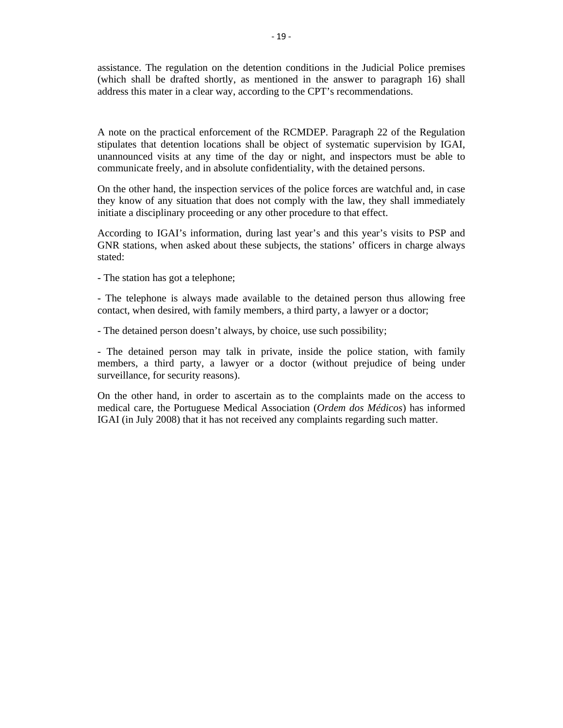assistance. The regulation on the detention conditions in the Judicial Police premises (which shall be drafted shortly, as mentioned in the answer to paragraph 16) shall address this mater in a clear way, according to the CPT's recommendations.

A note on the practical enforcement of the RCMDEP. Paragraph 22 of the Regulation stipulates that detention locations shall be object of systematic supervision by IGAI, unannounced visits at any time of the day or night, and inspectors must be able to communicate freely, and in absolute confidentiality, with the detained persons.

On the other hand, the inspection services of the police forces are watchful and, in case they know of any situation that does not comply with the law, they shall immediately initiate a disciplinary proceeding or any other procedure to that effect.

According to IGAI's information, during last year's and this year's visits to PSP and GNR stations, when asked about these subjects, the stations' officers in charge always stated:

- The station has got a telephone;

- The telephone is always made available to the detained person thus allowing free contact, when desired, with family members, a third party, a lawyer or a doctor;

- The detained person doesn't always, by choice, use such possibility;

- The detained person may talk in private, inside the police station, with family members, a third party, a lawyer or a doctor (without prejudice of being under surveillance, for security reasons).

On the other hand, in order to ascertain as to the complaints made on the access to medical care, the Portuguese Medical Association (*Ordem dos Médicos*) has informed IGAI (in July 2008) that it has not received any complaints regarding such matter.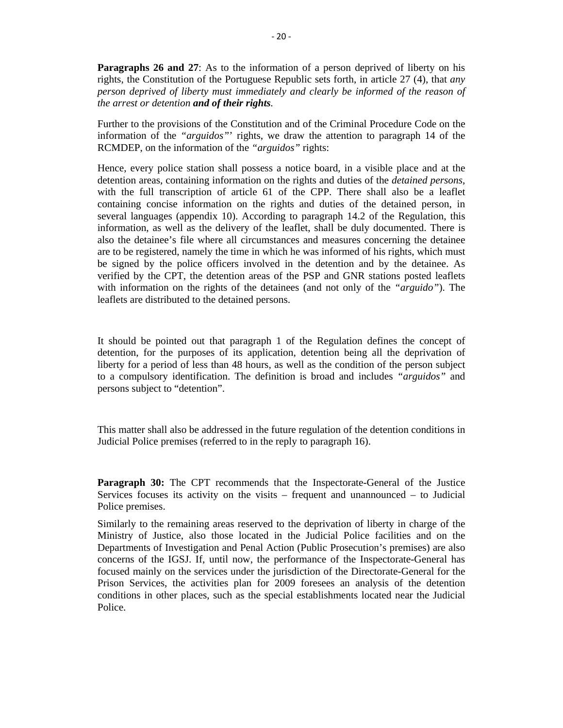**Paragraphs 26 and 27:** As to the information of a person deprived of liberty on his rights, the Constitution of the Portuguese Republic sets forth, in article 27 (4), that *any person deprived of liberty must immediately and clearly be informed of the reason of the arrest or detention and of their rights.* 

Further to the provisions of the Constitution and of the Criminal Procedure Code on the information of the *"arguidos"*' rights, we draw the attention to paragraph 14 of the RCMDEP, on the information of the *"arguidos"* rights:

Hence, every police station shall possess a notice board, in a visible place and at the detention areas, containing information on the rights and duties of the *detained persons*, with the full transcription of article 61 of the CPP. There shall also be a leaflet containing concise information on the rights and duties of the detained person, in several languages (appendix 10). According to paragraph 14.2 of the Regulation, this information, as well as the delivery of the leaflet, shall be duly documented. There is also the detainee's file where all circumstances and measures concerning the detainee are to be registered, namely the time in which he was informed of his rights, which must be signed by the police officers involved in the detention and by the detainee. As verified by the CPT, the detention areas of the PSP and GNR stations posted leaflets with information on the rights of the detainees (and not only of the *"arguido"*). The leaflets are distributed to the detained persons.

It should be pointed out that paragraph 1 of the Regulation defines the concept of detention, for the purposes of its application, detention being all the deprivation of liberty for a period of less than 48 hours, as well as the condition of the person subject to a compulsory identification. The definition is broad and includes *"arguidos"* and persons subject to "detention".

This matter shall also be addressed in the future regulation of the detention conditions in Judicial Police premises (referred to in the reply to paragraph 16).

**Paragraph 30:** The CPT recommends that the Inspectorate-General of the Justice Services focuses its activity on the visits – frequent and unannounced – to Judicial Police premises.

Similarly to the remaining areas reserved to the deprivation of liberty in charge of the Ministry of Justice, also those located in the Judicial Police facilities and on the Departments of Investigation and Penal Action (Public Prosecution's premises) are also concerns of the IGSJ. If, until now, the performance of the Inspectorate-General has focused mainly on the services under the jurisdiction of the Directorate-General for the Prison Services, the activities plan for 2009 foresees an analysis of the detention conditions in other places, such as the special establishments located near the Judicial Police.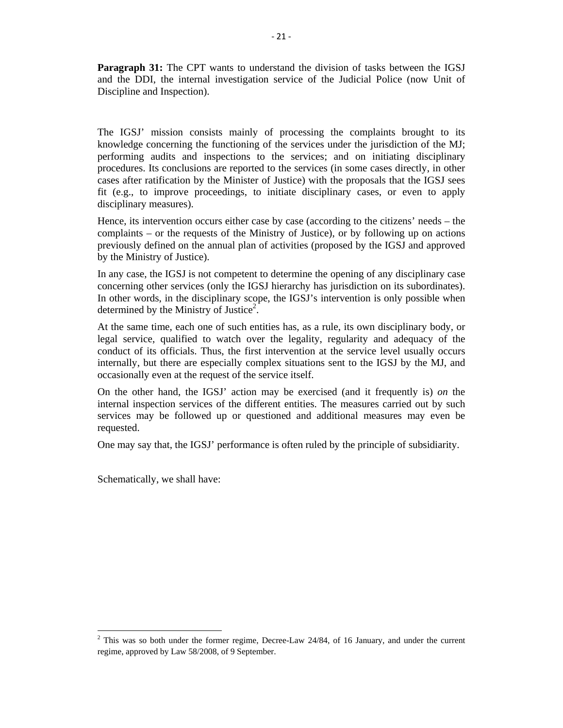**Paragraph 31:** The CPT wants to understand the division of tasks between the IGSJ and the DDI, the internal investigation service of the Judicial Police (now Unit of Discipline and Inspection).

The IGSJ' mission consists mainly of processing the complaints brought to its knowledge concerning the functioning of the services under the jurisdiction of the MJ; performing audits and inspections to the services; and on initiating disciplinary procedures. Its conclusions are reported to the services (in some cases directly, in other cases after ratification by the Minister of Justice) with the proposals that the IGSJ sees fit (e.g., to improve proceedings, to initiate disciplinary cases, or even to apply disciplinary measures).

Hence, its intervention occurs either case by case (according to the citizens' needs – the complaints – or the requests of the Ministry of Justice), or by following up on actions previously defined on the annual plan of activities (proposed by the IGSJ and approved by the Ministry of Justice).

In any case, the IGSJ is not competent to determine the opening of any disciplinary case concerning other services (only the IGSJ hierarchy has jurisdiction on its subordinates). In other words, in the disciplinary scope, the IGSJ's intervention is only possible when determined by the Ministry of Justice<sup>2</sup>.

At the same time, each one of such entities has, as a rule, its own disciplinary body, or legal service, qualified to watch over the legality, regularity and adequacy of the conduct of its officials. Thus, the first intervention at the service level usually occurs internally, but there are especially complex situations sent to the IGSJ by the MJ, and occasionally even at the request of the service itself.

On the other hand, the IGSJ' action may be exercised (and it frequently is) *on* the internal inspection services of the different entities. The measures carried out by such services may be followed up or questioned and additional measures may even be requested.

One may say that, the IGSJ' performance is often ruled by the principle of subsidiarity.

Schematically, we shall have:

 $2$  This was so both under the former regime, Decree-Law 24/84, of 16 January, and under the current regime, approved by Law 58/2008, of 9 September.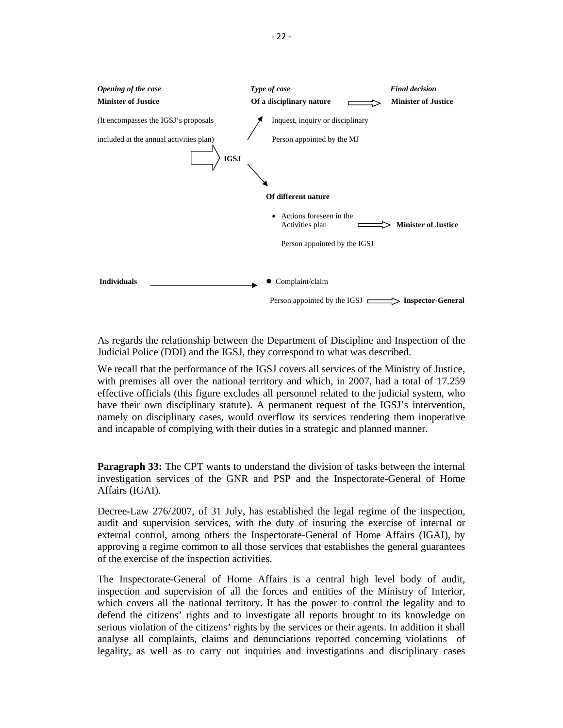

As regards the relationship between the Department of Discipline and Inspection of the Judicial Police (DDI) and the IGSJ, they correspond to what was described.

We recall that the performance of the IGSJ covers all services of the Ministry of Justice, with premises all over the national territory and which, in 2007, had a total of 17.259 effective officials (this figure excludes all personnel related to the judicial system, who have their own disciplinary statute). A permanent request of the IGSJ's intervention, namely on disciplinary cases, would overflow its services rendering them inoperative and incapable of complying with their duties in a strategic and planned manner.

**Paragraph 33:** The CPT wants to understand the division of tasks between the internal investigation services of the GNR and PSP and the Inspectorate-General of Home Affairs (IGAI).

Decree-Law 276/2007, of 31 July, has established the legal regime of the inspection, audit and supervision services, with the duty of insuring the exercise of internal or external control, among others the Inspectorate-General of Home Affairs (IGAI), by approving a regime common to all those services that establishes the general guarantees of the exercise of the inspection activities.

The Inspectorate-General of Home Affairs is a central high level body of audit, inspection and supervision of all the forces and entities of the Ministry of Interior, which covers all the national territory. It has the power to control the legality and to defend the citizens' rights and to investigate all reports brought to its knowledge on serious violation of the citizens' rights by the services or their agents. In addition it shall analyse all complaints, claims and denunciations reported concerning violations of legality, as well as to carry out inquiries and investigations and disciplinary cases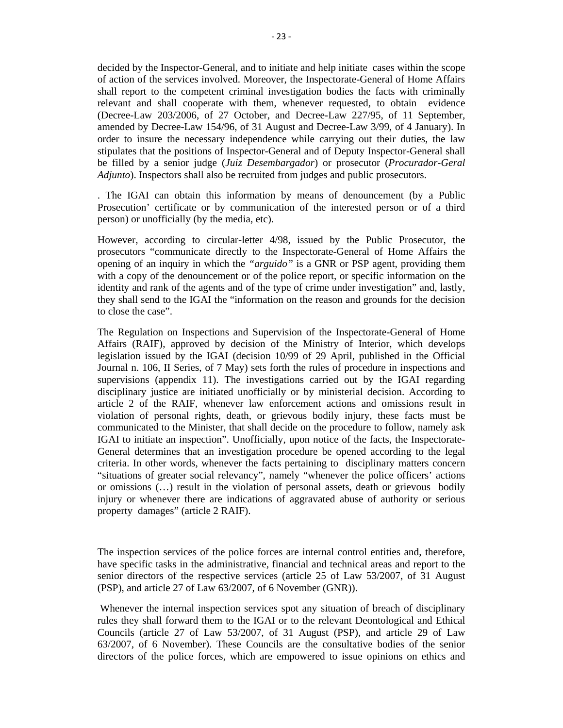decided by the Inspector-General, and to initiate and help initiate cases within the scope of action of the services involved. Moreover, the Inspectorate-General of Home Affairs shall report to the competent criminal investigation bodies the facts with criminally relevant and shall cooperate with them, whenever requested, to obtain evidence (Decree-Law 203/2006, of 27 October, and Decree-Law 227/95, of 11 September, amended by Decree-Law 154/96, of 31 August and Decree-Law 3/99, of 4 January). In order to insure the necessary independence while carrying out their duties, the law stipulates that the positions of Inspector-General and of Deputy Inspector-General shall be filled by a senior judge (*Juiz Desembargador*) or prosecutor (*Procurador-Geral Adjunto*). Inspectors shall also be recruited from judges and public prosecutors.

. The IGAI can obtain this information by means of denouncement (by a Public Prosecution' certificate or by communication of the interested person or of a third person) or unofficially (by the media, etc).

However, according to circular-letter 4/98, issued by the Public Prosecutor, the prosecutors "communicate directly to the Inspectorate-General of Home Affairs the opening of an inquiry in which the *"arguido"* is a GNR or PSP agent, providing them with a copy of the denouncement or of the police report, or specific information on the identity and rank of the agents and of the type of crime under investigation" and, lastly, they shall send to the IGAI the "information on the reason and grounds for the decision to close the case".

The Regulation on Inspections and Supervision of the Inspectorate-General of Home Affairs (RAIF), approved by decision of the Ministry of Interior, which develops legislation issued by the IGAI (decision 10/99 of 29 April, published in the Official Journal n. 106, II Series, of 7 May) sets forth the rules of procedure in inspections and supervisions (appendix 11). The investigations carried out by the IGAI regarding disciplinary justice are initiated unofficially or by ministerial decision. According to article 2 of the RAIF, whenever law enforcement actions and omissions result in violation of personal rights, death, or grievous bodily injury, these facts must be communicated to the Minister, that shall decide on the procedure to follow, namely ask IGAI to initiate an inspection". Unofficially, upon notice of the facts, the Inspectorate-General determines that an investigation procedure be opened according to the legal criteria. In other words, whenever the facts pertaining to disciplinary matters concern "situations of greater social relevancy", namely "whenever the police officers' actions or omissions (…) result in the violation of personal assets, death or grievous bodily injury or whenever there are indications of aggravated abuse of authority or serious property damages" (article 2 RAIF).

The inspection services of the police forces are internal control entities and, therefore, have specific tasks in the administrative, financial and technical areas and report to the senior directors of the respective services (article 25 of Law 53/2007, of 31 August (PSP), and article 27 of Law 63/2007, of 6 November (GNR)).

 Whenever the internal inspection services spot any situation of breach of disciplinary rules they shall forward them to the IGAI or to the relevant Deontological and Ethical Councils (article 27 of Law 53/2007, of 31 August (PSP), and article 29 of Law 63/2007, of 6 November). These Councils are the consultative bodies of the senior directors of the police forces, which are empowered to issue opinions on ethics and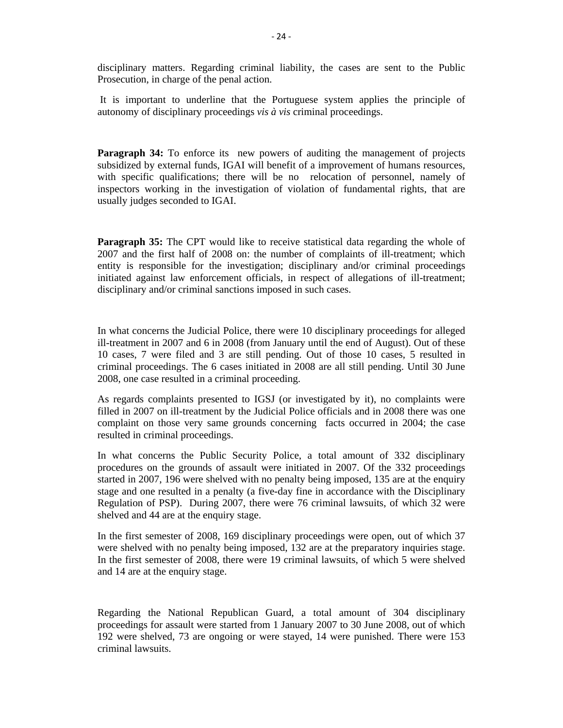disciplinary matters. Regarding criminal liability, the cases are sent to the Public Prosecution, in charge of the penal action.

 It is important to underline that the Portuguese system applies the principle of autonomy of disciplinary proceedings *vis à vis* criminal proceedings.

**Paragraph 34:** To enforce its new powers of auditing the management of projects subsidized by external funds, IGAI will benefit of a improvement of humans resources, with specific qualifications; there will be no relocation of personnel, namely of inspectors working in the investigation of violation of fundamental rights, that are usually judges seconded to IGAI.

**Paragraph 35:** The CPT would like to receive statistical data regarding the whole of 2007 and the first half of 2008 on: the number of complaints of ill-treatment; which entity is responsible for the investigation; disciplinary and/or criminal proceedings initiated against law enforcement officials, in respect of allegations of ill-treatment; disciplinary and/or criminal sanctions imposed in such cases.

In what concerns the Judicial Police, there were 10 disciplinary proceedings for alleged ill-treatment in 2007 and 6 in 2008 (from January until the end of August). Out of these 10 cases, 7 were filed and 3 are still pending. Out of those 10 cases, 5 resulted in criminal proceedings. The 6 cases initiated in 2008 are all still pending. Until 30 June 2008, one case resulted in a criminal proceeding.

As regards complaints presented to IGSJ (or investigated by it), no complaints were filled in 2007 on ill-treatment by the Judicial Police officials and in 2008 there was one complaint on those very same grounds concerning facts occurred in 2004; the case resulted in criminal proceedings.

In what concerns the Public Security Police, a total amount of 332 disciplinary procedures on the grounds of assault were initiated in 2007. Of the 332 proceedings started in 2007, 196 were shelved with no penalty being imposed, 135 are at the enquiry stage and one resulted in a penalty (a five-day fine in accordance with the Disciplinary Regulation of PSP). During 2007, there were 76 criminal lawsuits, of which 32 were shelved and 44 are at the enquiry stage.

In the first semester of 2008, 169 disciplinary proceedings were open, out of which 37 were shelved with no penalty being imposed, 132 are at the preparatory inquiries stage. In the first semester of 2008, there were 19 criminal lawsuits, of which 5 were shelved and 14 are at the enquiry stage.

Regarding the National Republican Guard, a total amount of 304 disciplinary proceedings for assault were started from 1 January 2007 to 30 June 2008, out of which 192 were shelved, 73 are ongoing or were stayed, 14 were punished. There were 153 criminal lawsuits.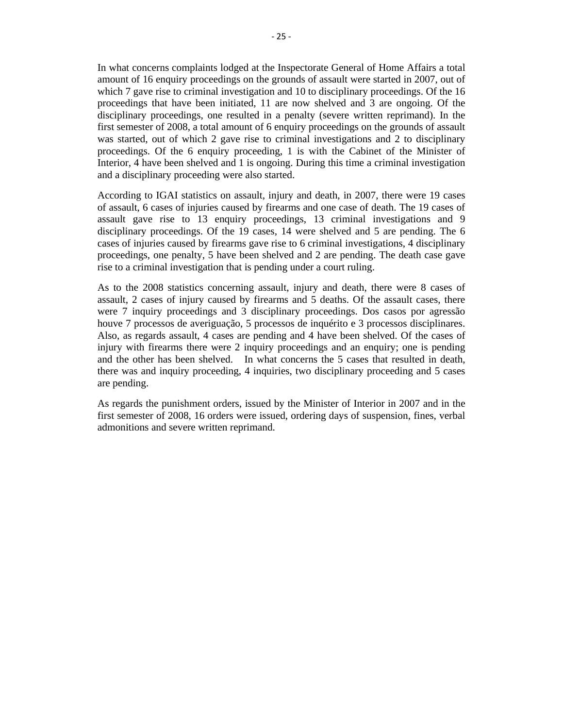In what concerns complaints lodged at the Inspectorate General of Home Affairs a total amount of 16 enquiry proceedings on the grounds of assault were started in 2007, out of which 7 gave rise to criminal investigation and 10 to disciplinary proceedings. Of the 16 proceedings that have been initiated, 11 are now shelved and 3 are ongoing. Of the disciplinary proceedings, one resulted in a penalty (severe written reprimand). In the first semester of 2008, a total amount of 6 enquiry proceedings on the grounds of assault was started, out of which 2 gave rise to criminal investigations and 2 to disciplinary proceedings. Of the 6 enquiry proceeding, 1 is with the Cabinet of the Minister of Interior, 4 have been shelved and 1 is ongoing. During this time a criminal investigation and a disciplinary proceeding were also started.

According to IGAI statistics on assault, injury and death, in 2007, there were 19 cases of assault, 6 cases of injuries caused by firearms and one case of death. The 19 cases of assault gave rise to 13 enquiry proceedings, 13 criminal investigations and 9 disciplinary proceedings. Of the 19 cases, 14 were shelved and 5 are pending. The 6 cases of injuries caused by firearms gave rise to 6 criminal investigations, 4 disciplinary proceedings, one penalty, 5 have been shelved and 2 are pending. The death case gave rise to a criminal investigation that is pending under a court ruling.

As to the 2008 statistics concerning assault, injury and death, there were 8 cases of assault, 2 cases of injury caused by firearms and 5 deaths. Of the assault cases, there were 7 inquiry proceedings and 3 disciplinary proceedings. Dos casos por agressão houve 7 processos de averiguação, 5 processos de inquérito e 3 processos disciplinares. Also, as regards assault, 4 cases are pending and 4 have been shelved. Of the cases of injury with firearms there were 2 inquiry proceedings and an enquiry; one is pending and the other has been shelved. In what concerns the 5 cases that resulted in death, there was and inquiry proceeding, 4 inquiries, two disciplinary proceeding and 5 cases are pending.

As regards the punishment orders, issued by the Minister of Interior in 2007 and in the first semester of 2008, 16 orders were issued, ordering days of suspension, fines, verbal admonitions and severe written reprimand.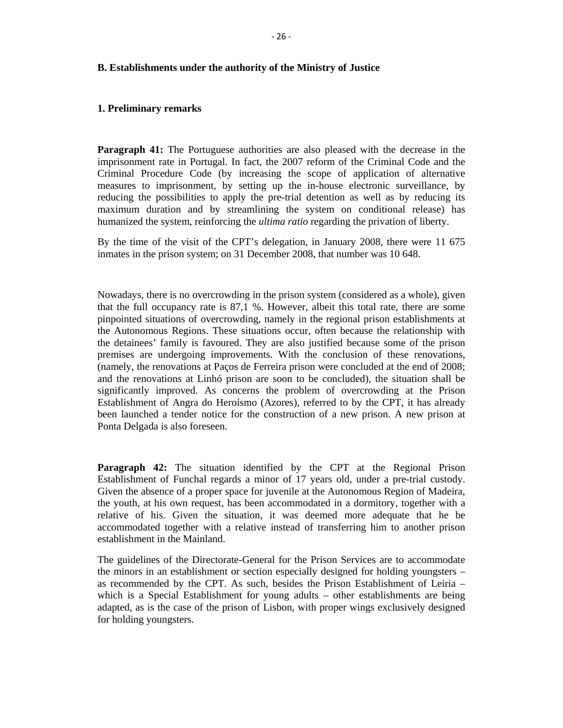#### **B. Establishments under the authority of the Ministry of Justice**

#### **1. Preliminary remarks**

**Paragraph 41:** The Portuguese authorities are also pleased with the decrease in the imprisonment rate in Portugal. In fact, the 2007 reform of the Criminal Code and the Criminal Procedure Code (by increasing the scope of application of alternative measures to imprisonment, by setting up the in-house electronic surveillance, by reducing the possibilities to apply the pre-trial detention as well as by reducing its maximum duration and by streamlining the system on conditional release) has humanized the system, reinforcing the *ultima ratio* regarding the privation of liberty.

By the time of the visit of the CPT's delegation, in January 2008, there were 11 675 inmates in the prison system; on 31 December 2008, that number was 10 648.

Nowadays, there is no overcrowding in the prison system (considered as a whole), given that the full occupancy rate is 87,1 %. However, albeit this total rate, there are some pinpointed situations of overcrowding, namely in the regional prison establishments at the Autonomous Regions. These situations occur, often because the relationship with the detainees' family is favoured. They are also justified because some of the prison premises are undergoing improvements. With the conclusion of these renovations, (namely, the renovations at Paços de Ferreira prison were concluded at the end of 2008; and the renovations at Linhó prison are soon to be concluded), the situation shall be significantly improved. As concerns the problem of overcrowding at the Prison Establishment of Angra do Heroísmo (Azores), referred to by the CPT, it has already been launched a tender notice for the construction of a new prison. A new prison at Ponta Delgada is also foreseen.

**Paragraph 42:** The situation identified by the CPT at the Regional Prison Establishment of Funchal regards a minor of 17 years old, under a pre-trial custody. Given the absence of a proper space for juvenile at the Autonomous Region of Madeira, the youth, at his own request, has been accommodated in a dormitory, together with a relative of his. Given the situation, it was deemed more adequate that he be accommodated together with a relative instead of transferring him to another prison establishment in the Mainland.

The guidelines of the Directorate-General for the Prison Services are to accommodate the minors in an establishment or section especially designed for holding youngsters – as recommended by the CPT. As such, besides the Prison Establishment of Leiria – which is a Special Establishment for young adults – other establishments are being adapted, as is the case of the prison of Lisbon, with proper wings exclusively designed for holding youngsters.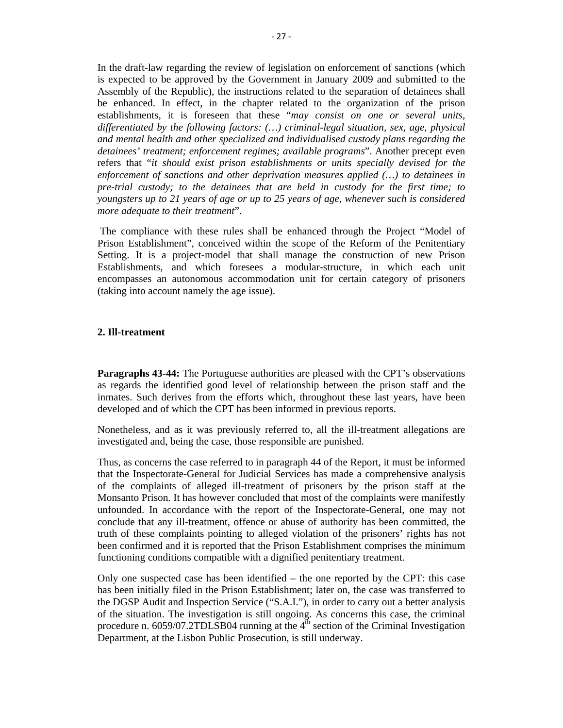In the draft-law regarding the review of legislation on enforcement of sanctions (which is expected to be approved by the Government in January 2009 and submitted to the Assembly of the Republic), the instructions related to the separation of detainees shall be enhanced. In effect, in the chapter related to the organization of the prison establishments, it is foreseen that these "*may consist on one or several units, differentiated by the following factors: (…) criminal-legal situation, sex, age, physical and mental health and other specialized and individualised custody plans regarding the detainees' treatment; enforcement regimes; available programs*". Another precept even refers that "*it should exist prison establishments or units specially devised for the enforcement of sanctions and other deprivation measures applied (…) to detainees in pre-trial custody; to the detainees that are held in custody for the first time; to youngsters up to 21 years of age or up to 25 years of age, whenever such is considered more adequate to their treatment*".

 The compliance with these rules shall be enhanced through the Project "Model of Prison Establishment", conceived within the scope of the Reform of the Penitentiary Setting. It is a project-model that shall manage the construction of new Prison Establishments, and which foresees a modular-structure, in which each unit encompasses an autonomous accommodation unit for certain category of prisoners (taking into account namely the age issue).

# **2. Ill-treatment**

**Paragraphs 43-44:** The Portuguese authorities are pleased with the CPT's observations as regards the identified good level of relationship between the prison staff and the inmates. Such derives from the efforts which, throughout these last years, have been developed and of which the CPT has been informed in previous reports.

Nonetheless, and as it was previously referred to, all the ill-treatment allegations are investigated and, being the case, those responsible are punished.

Thus, as concerns the case referred to in paragraph 44 of the Report, it must be informed that the Inspectorate-General for Judicial Services has made a comprehensive analysis of the complaints of alleged ill-treatment of prisoners by the prison staff at the Monsanto Prison. It has however concluded that most of the complaints were manifestly unfounded. In accordance with the report of the Inspectorate-General, one may not conclude that any ill-treatment, offence or abuse of authority has been committed, the truth of these complaints pointing to alleged violation of the prisoners' rights has not been confirmed and it is reported that the Prison Establishment comprises the minimum functioning conditions compatible with a dignified penitentiary treatment.

Only one suspected case has been identified – the one reported by the CPT: this case has been initially filed in the Prison Establishment; later on, the case was transferred to the DGSP Audit and Inspection Service ("S.A.I."), in order to carry out a better analysis of the situation. The investigation is still ongoing. As concerns this case, the criminal procedure n.  $6059/07.2TDLSB04$  running at the  $4<sup>th</sup>$  section of the Criminal Investigation Department, at the Lisbon Public Prosecution, is still underway.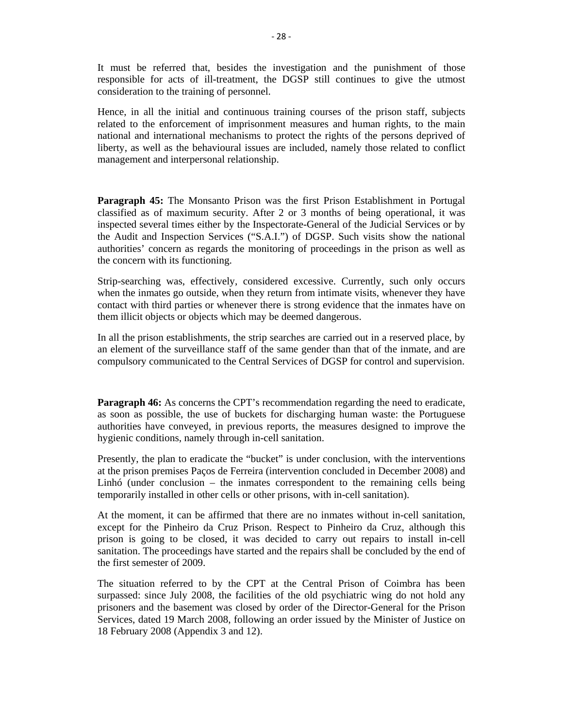It must be referred that, besides the investigation and the punishment of those responsible for acts of ill-treatment, the DGSP still continues to give the utmost consideration to the training of personnel.

Hence, in all the initial and continuous training courses of the prison staff, subjects related to the enforcement of imprisonment measures and human rights, to the main national and international mechanisms to protect the rights of the persons deprived of liberty, as well as the behavioural issues are included, namely those related to conflict management and interpersonal relationship.

**Paragraph 45:** The Monsanto Prison was the first Prison Establishment in Portugal classified as of maximum security. After 2 or 3 months of being operational, it was inspected several times either by the Inspectorate-General of the Judicial Services or by the Audit and Inspection Services ("S.A.I.") of DGSP. Such visits show the national authorities' concern as regards the monitoring of proceedings in the prison as well as the concern with its functioning.

Strip-searching was, effectively, considered excessive. Currently, such only occurs when the inmates go outside, when they return from intimate visits, whenever they have contact with third parties or whenever there is strong evidence that the inmates have on them illicit objects or objects which may be deemed dangerous.

In all the prison establishments, the strip searches are carried out in a reserved place, by an element of the surveillance staff of the same gender than that of the inmate, and are compulsory communicated to the Central Services of DGSP for control and supervision.

**Paragraph 46:** As concerns the CPT's recommendation regarding the need to eradicate, as soon as possible, the use of buckets for discharging human waste: the Portuguese authorities have conveyed, in previous reports, the measures designed to improve the hygienic conditions, namely through in-cell sanitation.

Presently, the plan to eradicate the "bucket" is under conclusion, with the interventions at the prison premises Paços de Ferreira (intervention concluded in December 2008) and Linhó (under conclusion – the inmates correspondent to the remaining cells being temporarily installed in other cells or other prisons, with in-cell sanitation).

At the moment, it can be affirmed that there are no inmates without in-cell sanitation, except for the Pinheiro da Cruz Prison. Respect to Pinheiro da Cruz, although this prison is going to be closed, it was decided to carry out repairs to install in-cell sanitation. The proceedings have started and the repairs shall be concluded by the end of the first semester of 2009.

The situation referred to by the CPT at the Central Prison of Coimbra has been surpassed: since July 2008, the facilities of the old psychiatric wing do not hold any prisoners and the basement was closed by order of the Director-General for the Prison Services, dated 19 March 2008, following an order issued by the Minister of Justice on 18 February 2008 (Appendix 3 and 12).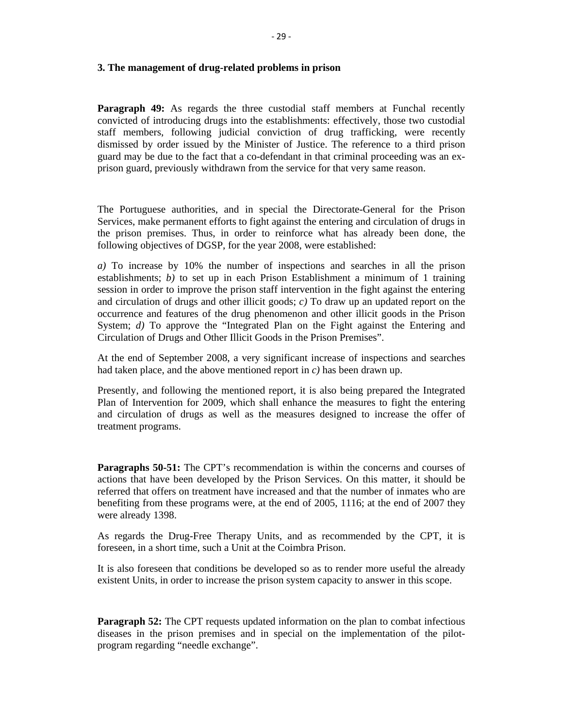#### **3. The management of drug-related problems in prison**

**Paragraph 49:** As regards the three custodial staff members at Funchal recently convicted of introducing drugs into the establishments: effectively, those two custodial staff members, following judicial conviction of drug trafficking, were recently dismissed by order issued by the Minister of Justice. The reference to a third prison guard may be due to the fact that a co-defendant in that criminal proceeding was an exprison guard, previously withdrawn from the service for that very same reason.

The Portuguese authorities, and in special the Directorate-General for the Prison Services, make permanent efforts to fight against the entering and circulation of drugs in the prison premises. Thus, in order to reinforce what has already been done, the following objectives of DGSP, for the year 2008, were established:

*a)* To increase by 10% the number of inspections and searches in all the prison establishments; *b)* to set up in each Prison Establishment a minimum of 1 training session in order to improve the prison staff intervention in the fight against the entering and circulation of drugs and other illicit goods; *c)* To draw up an updated report on the occurrence and features of the drug phenomenon and other illicit goods in the Prison System; *d*) To approve the "Integrated Plan on the Fight against the Entering and Circulation of Drugs and Other Illicit Goods in the Prison Premises".

At the end of September 2008, a very significant increase of inspections and searches had taken place, and the above mentioned report in *c)* has been drawn up.

Presently, and following the mentioned report, it is also being prepared the Integrated Plan of Intervention for 2009, which shall enhance the measures to fight the entering and circulation of drugs as well as the measures designed to increase the offer of treatment programs.

**Paragraphs 50-51:** The CPT's recommendation is within the concerns and courses of actions that have been developed by the Prison Services. On this matter, it should be referred that offers on treatment have increased and that the number of inmates who are benefiting from these programs were, at the end of 2005, 1116; at the end of 2007 they were already 1398.

As regards the Drug-Free Therapy Units, and as recommended by the CPT, it is foreseen, in a short time, such a Unit at the Coimbra Prison.

It is also foreseen that conditions be developed so as to render more useful the already existent Units, in order to increase the prison system capacity to answer in this scope.

**Paragraph 52:** The CPT requests updated information on the plan to combat infectious diseases in the prison premises and in special on the implementation of the pilotprogram regarding "needle exchange".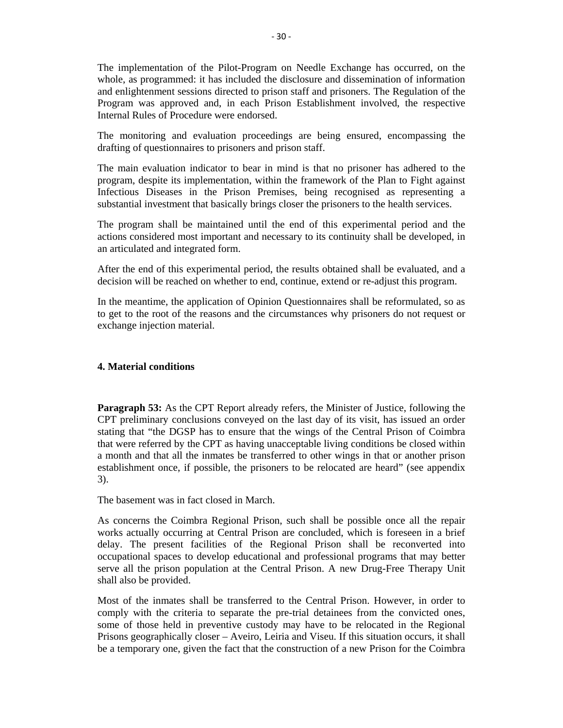The implementation of the Pilot-Program on Needle Exchange has occurred, on the whole, as programmed: it has included the disclosure and dissemination of information and enlightenment sessions directed to prison staff and prisoners. The Regulation of the Program was approved and, in each Prison Establishment involved, the respective Internal Rules of Procedure were endorsed.

The monitoring and evaluation proceedings are being ensured, encompassing the drafting of questionnaires to prisoners and prison staff.

The main evaluation indicator to bear in mind is that no prisoner has adhered to the program, despite its implementation, within the framework of the Plan to Fight against Infectious Diseases in the Prison Premises, being recognised as representing a substantial investment that basically brings closer the prisoners to the health services.

The program shall be maintained until the end of this experimental period and the actions considered most important and necessary to its continuity shall be developed, in an articulated and integrated form.

After the end of this experimental period, the results obtained shall be evaluated, and a decision will be reached on whether to end, continue, extend or re-adjust this program.

In the meantime, the application of Opinion Questionnaires shall be reformulated, so as to get to the root of the reasons and the circumstances why prisoners do not request or exchange injection material.

# **4. Material conditions**

**Paragraph 53:** As the CPT Report already refers, the Minister of Justice, following the CPT preliminary conclusions conveyed on the last day of its visit, has issued an order stating that "the DGSP has to ensure that the wings of the Central Prison of Coimbra that were referred by the CPT as having unacceptable living conditions be closed within a month and that all the inmates be transferred to other wings in that or another prison establishment once, if possible, the prisoners to be relocated are heard" (see appendix 3).

The basement was in fact closed in March.

As concerns the Coimbra Regional Prison, such shall be possible once all the repair works actually occurring at Central Prison are concluded, which is foreseen in a brief delay. The present facilities of the Regional Prison shall be reconverted into occupational spaces to develop educational and professional programs that may better serve all the prison population at the Central Prison. A new Drug-Free Therapy Unit shall also be provided.

Most of the inmates shall be transferred to the Central Prison. However, in order to comply with the criteria to separate the pre-trial detainees from the convicted ones, some of those held in preventive custody may have to be relocated in the Regional Prisons geographically closer – Aveiro, Leiria and Viseu. If this situation occurs, it shall be a temporary one, given the fact that the construction of a new Prison for the Coimbra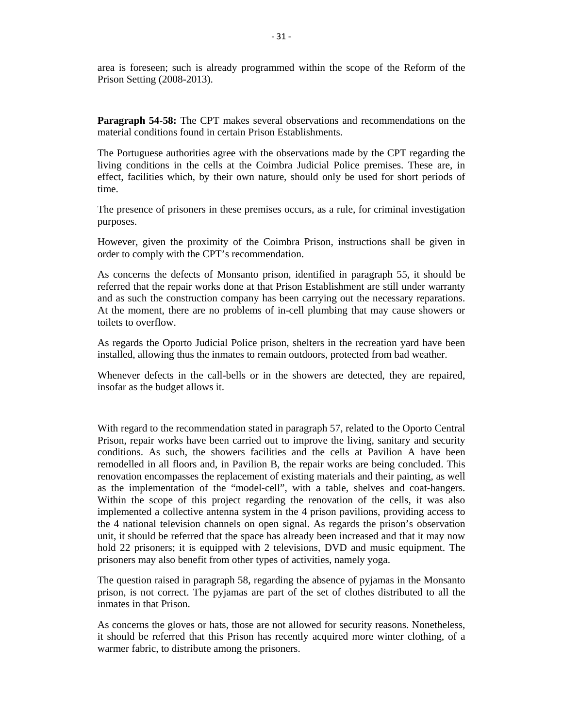area is foreseen; such is already programmed within the scope of the Reform of the Prison Setting (2008-2013).

**Paragraph 54-58:** The CPT makes several observations and recommendations on the material conditions found in certain Prison Establishments.

The Portuguese authorities agree with the observations made by the CPT regarding the living conditions in the cells at the Coimbra Judicial Police premises. These are, in effect, facilities which, by their own nature, should only be used for short periods of time.

The presence of prisoners in these premises occurs, as a rule, for criminal investigation purposes.

However, given the proximity of the Coimbra Prison, instructions shall be given in order to comply with the CPT's recommendation.

As concerns the defects of Monsanto prison, identified in paragraph 55, it should be referred that the repair works done at that Prison Establishment are still under warranty and as such the construction company has been carrying out the necessary reparations. At the moment, there are no problems of in-cell plumbing that may cause showers or toilets to overflow.

As regards the Oporto Judicial Police prison, shelters in the recreation yard have been installed, allowing thus the inmates to remain outdoors, protected from bad weather.

Whenever defects in the call-bells or in the showers are detected, they are repaired, insofar as the budget allows it.

With regard to the recommendation stated in paragraph 57, related to the Oporto Central Prison, repair works have been carried out to improve the living, sanitary and security conditions. As such, the showers facilities and the cells at Pavilion A have been remodelled in all floors and, in Pavilion B, the repair works are being concluded. This renovation encompasses the replacement of existing materials and their painting, as well as the implementation of the "model-cell", with a table, shelves and coat-hangers. Within the scope of this project regarding the renovation of the cells, it was also implemented a collective antenna system in the 4 prison pavilions, providing access to the 4 national television channels on open signal. As regards the prison's observation unit, it should be referred that the space has already been increased and that it may now hold 22 prisoners; it is equipped with 2 televisions, DVD and music equipment. The prisoners may also benefit from other types of activities, namely yoga.

The question raised in paragraph 58, regarding the absence of pyjamas in the Monsanto prison, is not correct. The pyjamas are part of the set of clothes distributed to all the inmates in that Prison.

As concerns the gloves or hats, those are not allowed for security reasons. Nonetheless, it should be referred that this Prison has recently acquired more winter clothing, of a warmer fabric, to distribute among the prisoners.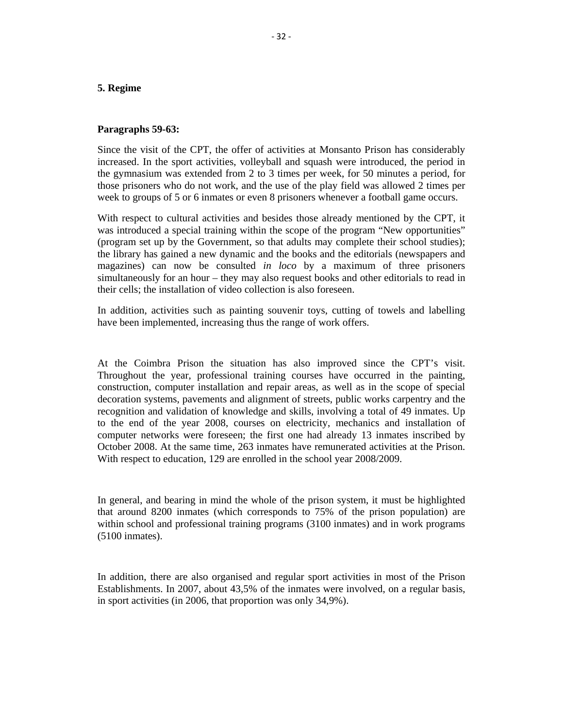# **5. Regime**

#### **Paragraphs 59-63:**

Since the visit of the CPT, the offer of activities at Monsanto Prison has considerably increased. In the sport activities, volleyball and squash were introduced, the period in the gymnasium was extended from 2 to 3 times per week, for 50 minutes a period, for those prisoners who do not work, and the use of the play field was allowed 2 times per week to groups of 5 or 6 inmates or even 8 prisoners whenever a football game occurs.

With respect to cultural activities and besides those already mentioned by the CPT, it was introduced a special training within the scope of the program "New opportunities" (program set up by the Government, so that adults may complete their school studies); the library has gained a new dynamic and the books and the editorials (newspapers and magazines) can now be consulted *in loco* by a maximum of three prisoners simultaneously for an hour – they may also request books and other editorials to read in their cells; the installation of video collection is also foreseen.

In addition, activities such as painting souvenir toys, cutting of towels and labelling have been implemented, increasing thus the range of work offers.

At the Coimbra Prison the situation has also improved since the CPT's visit. Throughout the year, professional training courses have occurred in the painting, construction, computer installation and repair areas, as well as in the scope of special decoration systems, pavements and alignment of streets, public works carpentry and the recognition and validation of knowledge and skills, involving a total of 49 inmates. Up to the end of the year 2008, courses on electricity, mechanics and installation of computer networks were foreseen; the first one had already 13 inmates inscribed by October 2008. At the same time, 263 inmates have remunerated activities at the Prison. With respect to education, 129 are enrolled in the school year 2008/2009.

In general, and bearing in mind the whole of the prison system, it must be highlighted that around 8200 inmates (which corresponds to 75% of the prison population) are within school and professional training programs (3100 inmates) and in work programs (5100 inmates).

In addition, there are also organised and regular sport activities in most of the Prison Establishments. In 2007, about 43,5% of the inmates were involved, on a regular basis, in sport activities (in 2006, that proportion was only 34,9%).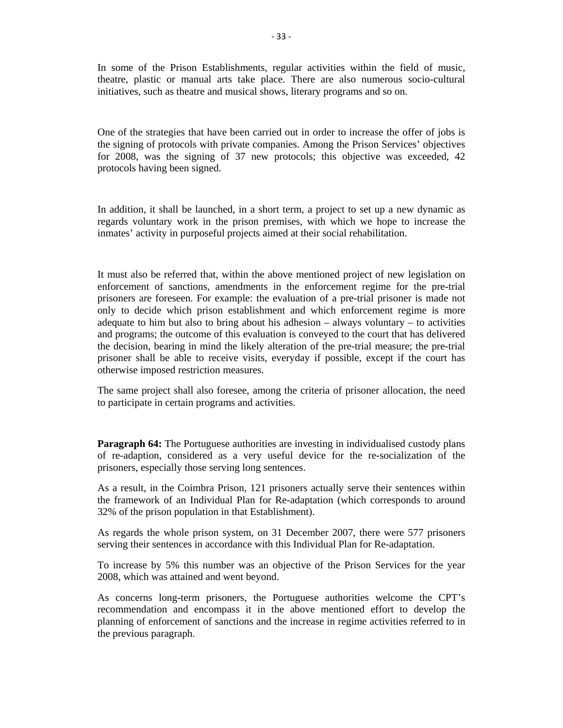In some of the Prison Establishments, regular activities within the field of music, theatre, plastic or manual arts take place. There are also numerous socio-cultural initiatives, such as theatre and musical shows, literary programs and so on.

One of the strategies that have been carried out in order to increase the offer of jobs is the signing of protocols with private companies. Among the Prison Services' objectives for 2008, was the signing of 37 new protocols; this objective was exceeded, 42 protocols having been signed.

In addition, it shall be launched, in a short term, a project to set up a new dynamic as regards voluntary work in the prison premises, with which we hope to increase the inmates' activity in purposeful projects aimed at their social rehabilitation.

It must also be referred that, within the above mentioned project of new legislation on enforcement of sanctions, amendments in the enforcement regime for the pre-trial prisoners are foreseen. For example: the evaluation of a pre-trial prisoner is made not only to decide which prison establishment and which enforcement regime is more adequate to him but also to bring about his adhesion  $-$  always voluntary  $-$  to activities and programs; the outcome of this evaluation is conveyed to the court that has delivered the decision, bearing in mind the likely alteration of the pre-trial measure; the pre-trial prisoner shall be able to receive visits, everyday if possible, except if the court has otherwise imposed restriction measures.

The same project shall also foresee, among the criteria of prisoner allocation, the need to participate in certain programs and activities.

**Paragraph 64:** The Portuguese authorities are investing in individualised custody plans of re-adaption, considered as a very useful device for the re-socialization of the prisoners, especially those serving long sentences.

As a result, in the Coimbra Prison, 121 prisoners actually serve their sentences within the framework of an Individual Plan for Re-adaptation (which corresponds to around 32% of the prison population in that Establishment).

As regards the whole prison system, on 31 December 2007, there were 577 prisoners serving their sentences in accordance with this Individual Plan for Re-adaptation.

To increase by 5% this number was an objective of the Prison Services for the year 2008, which was attained and went beyond.

As concerns long-term prisoners, the Portuguese authorities welcome the CPT's recommendation and encompass it in the above mentioned effort to develop the planning of enforcement of sanctions and the increase in regime activities referred to in the previous paragraph.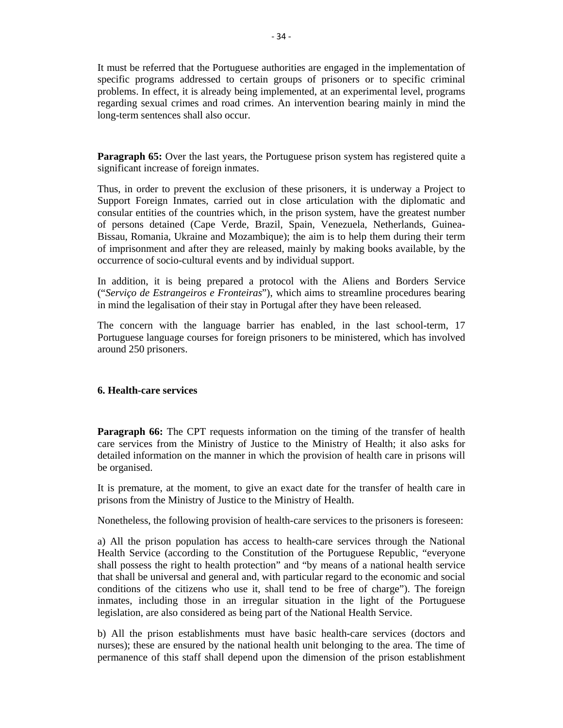It must be referred that the Portuguese authorities are engaged in the implementation of specific programs addressed to certain groups of prisoners or to specific criminal problems. In effect, it is already being implemented, at an experimental level, programs regarding sexual crimes and road crimes. An intervention bearing mainly in mind the long-term sentences shall also occur.

**Paragraph 65:** Over the last years, the Portuguese prison system has registered quite a significant increase of foreign inmates.

Thus, in order to prevent the exclusion of these prisoners, it is underway a Project to Support Foreign Inmates, carried out in close articulation with the diplomatic and consular entities of the countries which, in the prison system, have the greatest number of persons detained (Cape Verde, Brazil, Spain, Venezuela, Netherlands, Guinea-Bissau, Romania, Ukraine and Mozambique); the aim is to help them during their term of imprisonment and after they are released, mainly by making books available, by the occurrence of socio-cultural events and by individual support.

In addition, it is being prepared a protocol with the Aliens and Borders Service ("*Serviço de Estrangeiros e Fronteiras*"), which aims to streamline procedures bearing in mind the legalisation of their stay in Portugal after they have been released.

The concern with the language barrier has enabled, in the last school-term, 17 Portuguese language courses for foreign prisoners to be ministered, which has involved around 250 prisoners.

# **6. Health-care services**

**Paragraph 66:** The CPT requests information on the timing of the transfer of health care services from the Ministry of Justice to the Ministry of Health; it also asks for detailed information on the manner in which the provision of health care in prisons will be organised.

It is premature, at the moment, to give an exact date for the transfer of health care in prisons from the Ministry of Justice to the Ministry of Health.

Nonetheless, the following provision of health-care services to the prisoners is foreseen:

a) All the prison population has access to health-care services through the National Health Service (according to the Constitution of the Portuguese Republic, "everyone shall possess the right to health protection" and "by means of a national health service that shall be universal and general and, with particular regard to the economic and social conditions of the citizens who use it, shall tend to be free of charge"). The foreign inmates, including those in an irregular situation in the light of the Portuguese legislation, are also considered as being part of the National Health Service.

b) All the prison establishments must have basic health-care services (doctors and nurses); these are ensured by the national health unit belonging to the area. The time of permanence of this staff shall depend upon the dimension of the prison establishment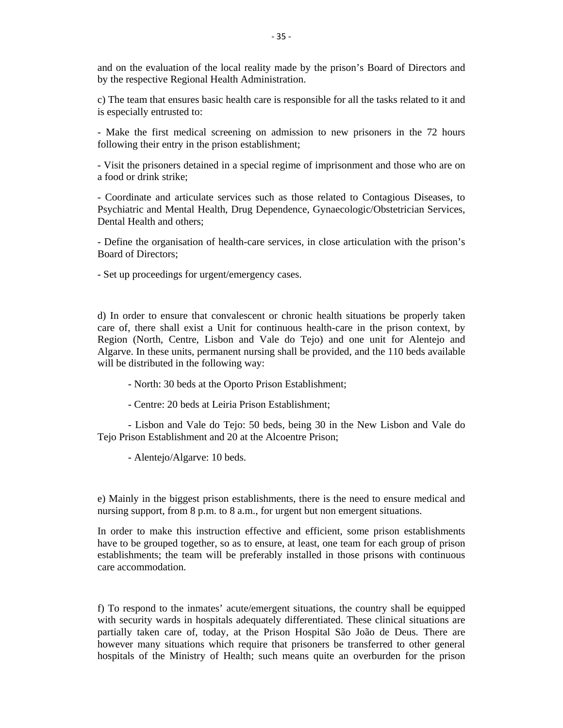and on the evaluation of the local reality made by the prison's Board of Directors and by the respective Regional Health Administration.

c) The team that ensures basic health care is responsible for all the tasks related to it and is especially entrusted to:

- Make the first medical screening on admission to new prisoners in the 72 hours following their entry in the prison establishment;

- Visit the prisoners detained in a special regime of imprisonment and those who are on a food or drink strike;

- Coordinate and articulate services such as those related to Contagious Diseases, to Psychiatric and Mental Health, Drug Dependence, Gynaecologic/Obstetrician Services, Dental Health and others;

- Define the organisation of health-care services, in close articulation with the prison's Board of Directors;

- Set up proceedings for urgent/emergency cases.

d) In order to ensure that convalescent or chronic health situations be properly taken care of, there shall exist a Unit for continuous health-care in the prison context, by Region (North, Centre, Lisbon and Vale do Tejo) and one unit for Alentejo and Algarve. In these units, permanent nursing shall be provided, and the 110 beds available will be distributed in the following way:

- North: 30 beds at the Oporto Prison Establishment;

- Centre: 20 beds at Leiria Prison Establishment;

 - Lisbon and Vale do Tejo: 50 beds, being 30 in the New Lisbon and Vale do Tejo Prison Establishment and 20 at the Alcoentre Prison;

- Alentejo/Algarve: 10 beds.

e) Mainly in the biggest prison establishments, there is the need to ensure medical and nursing support, from 8 p.m. to 8 a.m., for urgent but non emergent situations.

In order to make this instruction effective and efficient, some prison establishments have to be grouped together, so as to ensure, at least, one team for each group of prison establishments; the team will be preferably installed in those prisons with continuous care accommodation.

f) To respond to the inmates' acute/emergent situations, the country shall be equipped with security wards in hospitals adequately differentiated. These clinical situations are partially taken care of, today, at the Prison Hospital São João de Deus. There are however many situations which require that prisoners be transferred to other general hospitals of the Ministry of Health; such means quite an overburden for the prison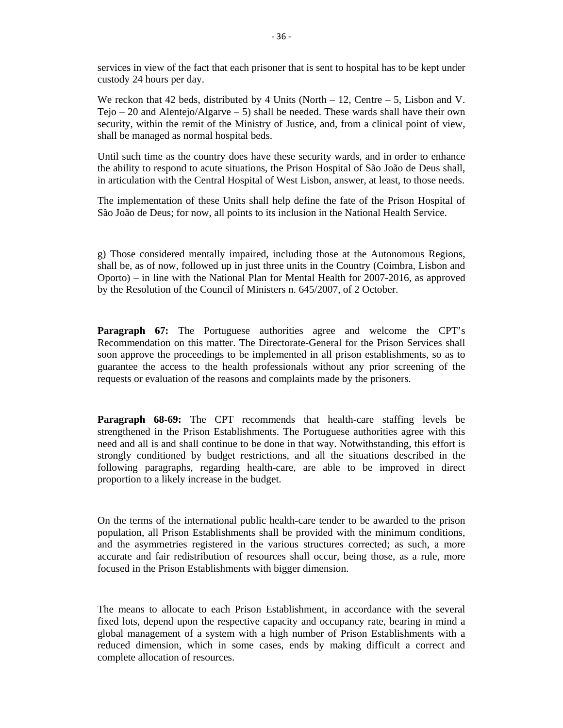services in view of the fact that each prisoner that is sent to hospital has to be kept under custody 24 hours per day.

We reckon that 42 beds, distributed by 4 Units (North – 12, Centre – 5, Lisbon and V. Tejo – 20 and Alentejo/Algarve – 5) shall be needed. These wards shall have their own security, within the remit of the Ministry of Justice, and, from a clinical point of view, shall be managed as normal hospital beds.

Until such time as the country does have these security wards, and in order to enhance the ability to respond to acute situations, the Prison Hospital of São João de Deus shall, in articulation with the Central Hospital of West Lisbon, answer, at least, to those needs.

The implementation of these Units shall help define the fate of the Prison Hospital of São João de Deus; for now, all points to its inclusion in the National Health Service.

g) Those considered mentally impaired, including those at the Autonomous Regions, shall be, as of now, followed up in just three units in the Country (Coimbra, Lisbon and Oporto) – in line with the National Plan for Mental Health for 2007-2016, as approved by the Resolution of the Council of Ministers n. 645/2007, of 2 October.

**Paragraph 67:** The Portuguese authorities agree and welcome the CPT's Recommendation on this matter. The Directorate-General for the Prison Services shall soon approve the proceedings to be implemented in all prison establishments, so as to guarantee the access to the health professionals without any prior screening of the requests or evaluation of the reasons and complaints made by the prisoners.

**Paragraph 68-69:** The CPT recommends that health-care staffing levels be strengthened in the Prison Establishments. The Portuguese authorities agree with this need and all is and shall continue to be done in that way. Notwithstanding, this effort is strongly conditioned by budget restrictions, and all the situations described in the following paragraphs, regarding health-care, are able to be improved in direct proportion to a likely increase in the budget.

On the terms of the international public health-care tender to be awarded to the prison population, all Prison Establishments shall be provided with the minimum conditions, and the asymmetries registered in the various structures corrected; as such, a more accurate and fair redistribution of resources shall occur, being those, as a rule, more focused in the Prison Establishments with bigger dimension.

The means to allocate to each Prison Establishment, in accordance with the several fixed lots, depend upon the respective capacity and occupancy rate, bearing in mind a global management of a system with a high number of Prison Establishments with a reduced dimension, which in some cases, ends by making difficult a correct and complete allocation of resources.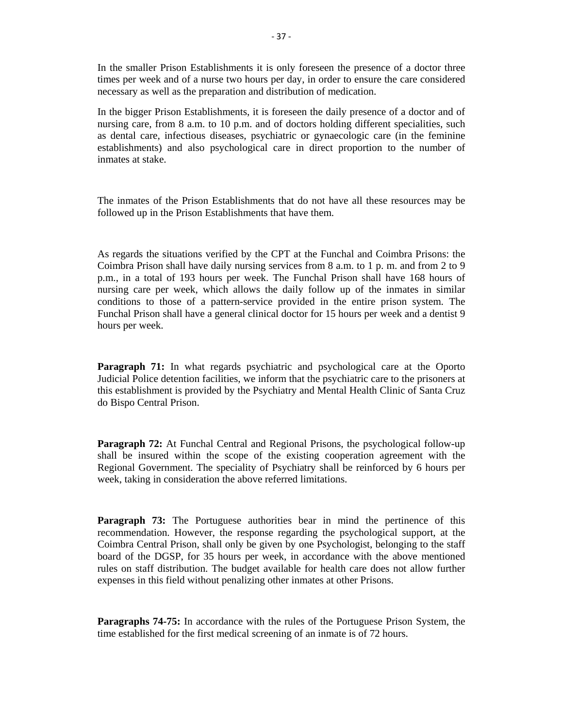In the smaller Prison Establishments it is only foreseen the presence of a doctor three times per week and of a nurse two hours per day, in order to ensure the care considered necessary as well as the preparation and distribution of medication.

In the bigger Prison Establishments, it is foreseen the daily presence of a doctor and of nursing care, from 8 a.m. to 10 p.m. and of doctors holding different specialities, such as dental care, infectious diseases, psychiatric or gynaecologic care (in the feminine establishments) and also psychological care in direct proportion to the number of inmates at stake.

The inmates of the Prison Establishments that do not have all these resources may be followed up in the Prison Establishments that have them.

As regards the situations verified by the CPT at the Funchal and Coimbra Prisons: the Coimbra Prison shall have daily nursing services from 8 a.m. to 1 p. m. and from 2 to 9 p.m., in a total of 193 hours per week. The Funchal Prison shall have 168 hours of nursing care per week, which allows the daily follow up of the inmates in similar conditions to those of a pattern-service provided in the entire prison system. The Funchal Prison shall have a general clinical doctor for 15 hours per week and a dentist 9 hours per week.

**Paragraph 71:** In what regards psychiatric and psychological care at the Oporto Judicial Police detention facilities, we inform that the psychiatric care to the prisoners at this establishment is provided by the Psychiatry and Mental Health Clinic of Santa Cruz do Bispo Central Prison.

**Paragraph 72:** At Funchal Central and Regional Prisons, the psychological follow-up shall be insured within the scope of the existing cooperation agreement with the Regional Government. The speciality of Psychiatry shall be reinforced by 6 hours per week, taking in consideration the above referred limitations.

**Paragraph 73:** The Portuguese authorities bear in mind the pertinence of this recommendation. However, the response regarding the psychological support, at the Coimbra Central Prison, shall only be given by one Psychologist, belonging to the staff board of the DGSP, for 35 hours per week, in accordance with the above mentioned rules on staff distribution. The budget available for health care does not allow further expenses in this field without penalizing other inmates at other Prisons.

**Paragraphs 74-75:** In accordance with the rules of the Portuguese Prison System, the time established for the first medical screening of an inmate is of 72 hours.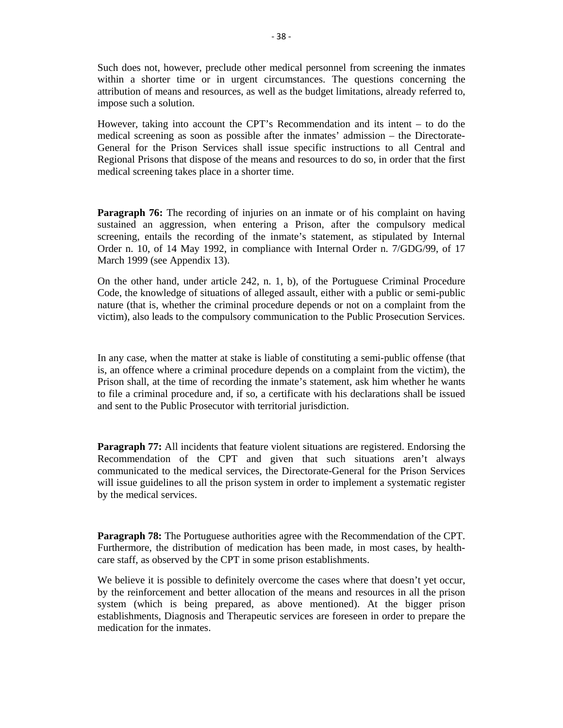Such does not, however, preclude other medical personnel from screening the inmates within a shorter time or in urgent circumstances. The questions concerning the attribution of means and resources, as well as the budget limitations, already referred to, impose such a solution.

However, taking into account the CPT's Recommendation and its intent – to do the medical screening as soon as possible after the inmates' admission – the Directorate-General for the Prison Services shall issue specific instructions to all Central and Regional Prisons that dispose of the means and resources to do so, in order that the first medical screening takes place in a shorter time.

**Paragraph 76:** The recording of injuries on an inmate or of his complaint on having sustained an aggression, when entering a Prison, after the compulsory medical screening, entails the recording of the inmate's statement, as stipulated by Internal Order n. 10, of 14 May 1992, in compliance with Internal Order n. 7/GDG/99, of 17 March 1999 (see Appendix 13).

On the other hand, under article 242, n. 1, b), of the Portuguese Criminal Procedure Code, the knowledge of situations of alleged assault, either with a public or semi-public nature (that is, whether the criminal procedure depends or not on a complaint from the victim), also leads to the compulsory communication to the Public Prosecution Services.

In any case, when the matter at stake is liable of constituting a semi-public offense (that is, an offence where a criminal procedure depends on a complaint from the victim), the Prison shall, at the time of recording the inmate's statement, ask him whether he wants to file a criminal procedure and, if so, a certificate with his declarations shall be issued and sent to the Public Prosecutor with territorial jurisdiction.

**Paragraph 77:** All incidents that feature violent situations are registered. Endorsing the Recommendation of the CPT and given that such situations aren't always communicated to the medical services, the Directorate-General for the Prison Services will issue guidelines to all the prison system in order to implement a systematic register by the medical services.

**Paragraph 78:** The Portuguese authorities agree with the Recommendation of the CPT. Furthermore, the distribution of medication has been made, in most cases, by healthcare staff, as observed by the CPT in some prison establishments.

We believe it is possible to definitely overcome the cases where that doesn't yet occur, by the reinforcement and better allocation of the means and resources in all the prison system (which is being prepared, as above mentioned). At the bigger prison establishments, Diagnosis and Therapeutic services are foreseen in order to prepare the medication for the inmates.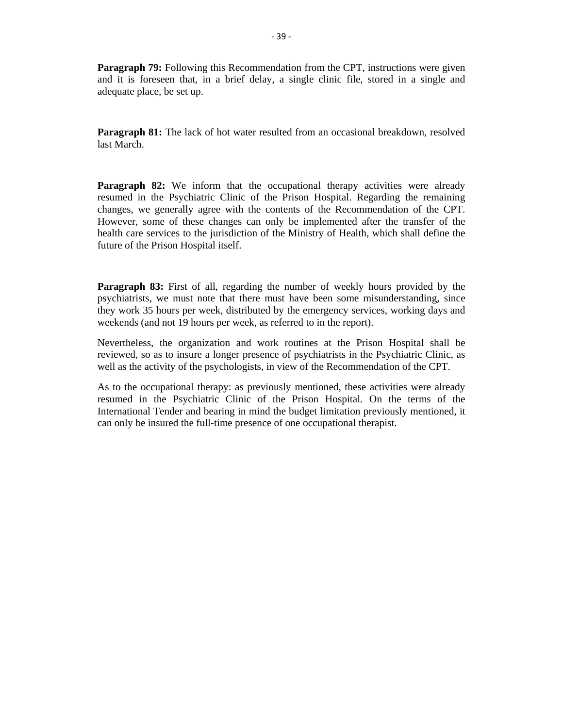**Paragraph 79:** Following this Recommendation from the CPT, instructions were given and it is foreseen that, in a brief delay, a single clinic file, stored in a single and adequate place, be set up.

**Paragraph 81:** The lack of hot water resulted from an occasional breakdown, resolved last March.

**Paragraph 82:** We inform that the occupational therapy activities were already resumed in the Psychiatric Clinic of the Prison Hospital. Regarding the remaining changes, we generally agree with the contents of the Recommendation of the CPT. However, some of these changes can only be implemented after the transfer of the health care services to the jurisdiction of the Ministry of Health, which shall define the future of the Prison Hospital itself.

**Paragraph 83:** First of all, regarding the number of weekly hours provided by the psychiatrists, we must note that there must have been some misunderstanding, since they work 35 hours per week, distributed by the emergency services, working days and weekends (and not 19 hours per week, as referred to in the report).

Nevertheless, the organization and work routines at the Prison Hospital shall be reviewed, so as to insure a longer presence of psychiatrists in the Psychiatric Clinic, as well as the activity of the psychologists, in view of the Recommendation of the CPT.

As to the occupational therapy: as previously mentioned, these activities were already resumed in the Psychiatric Clinic of the Prison Hospital. On the terms of the International Tender and bearing in mind the budget limitation previously mentioned, it can only be insured the full-time presence of one occupational therapist.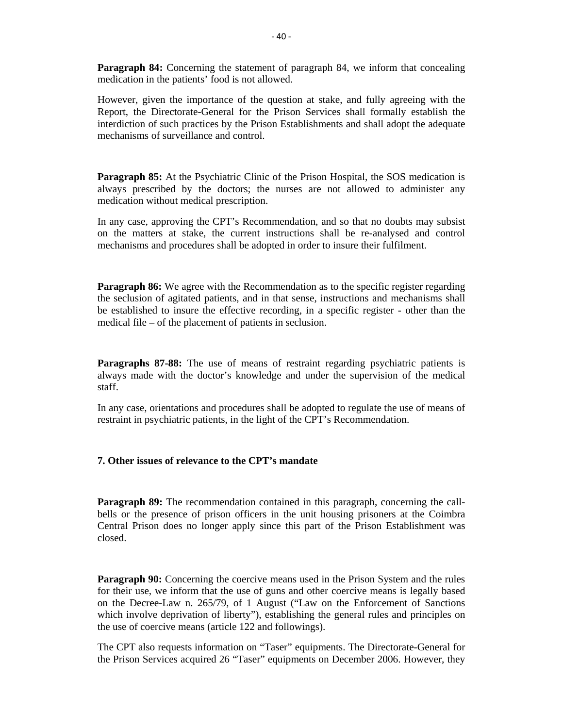**Paragraph 84:** Concerning the statement of paragraph 84, we inform that concealing medication in the patients' food is not allowed.

However, given the importance of the question at stake, and fully agreeing with the Report, the Directorate-General for the Prison Services shall formally establish the interdiction of such practices by the Prison Establishments and shall adopt the adequate mechanisms of surveillance and control.

**Paragraph 85:** At the Psychiatric Clinic of the Prison Hospital, the SOS medication is always prescribed by the doctors; the nurses are not allowed to administer any medication without medical prescription.

In any case, approving the CPT's Recommendation, and so that no doubts may subsist on the matters at stake, the current instructions shall be re-analysed and control mechanisms and procedures shall be adopted in order to insure their fulfilment.

**Paragraph 86:** We agree with the Recommendation as to the specific register regarding the seclusion of agitated patients, and in that sense, instructions and mechanisms shall be established to insure the effective recording, in a specific register - other than the medical file – of the placement of patients in seclusion.

**Paragraphs 87-88:** The use of means of restraint regarding psychiatric patients is always made with the doctor's knowledge and under the supervision of the medical staff.

In any case, orientations and procedures shall be adopted to regulate the use of means of restraint in psychiatric patients, in the light of the CPT's Recommendation.

#### **7. Other issues of relevance to the CPT's mandate**

**Paragraph 89:** The recommendation contained in this paragraph, concerning the callbells or the presence of prison officers in the unit housing prisoners at the Coimbra Central Prison does no longer apply since this part of the Prison Establishment was closed.

**Paragraph 90:** Concerning the coercive means used in the Prison System and the rules for their use, we inform that the use of guns and other coercive means is legally based on the Decree-Law n. 265/79, of 1 August ("Law on the Enforcement of Sanctions which involve deprivation of liberty"), establishing the general rules and principles on the use of coercive means (article 122 and followings).

The CPT also requests information on "Taser" equipments. The Directorate-General for the Prison Services acquired 26 "Taser" equipments on December 2006. However, they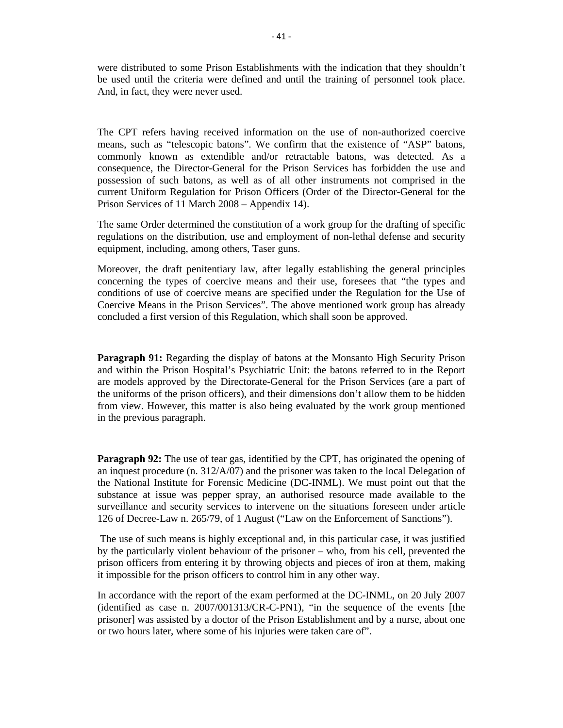were distributed to some Prison Establishments with the indication that they shouldn't be used until the criteria were defined and until the training of personnel took place. And, in fact, they were never used.

The CPT refers having received information on the use of non-authorized coercive means, such as "telescopic batons". We confirm that the existence of "ASP" batons, commonly known as extendible and/or retractable batons, was detected. As a consequence, the Director-General for the Prison Services has forbidden the use and possession of such batons, as well as of all other instruments not comprised in the current Uniform Regulation for Prison Officers (Order of the Director-General for the Prison Services of 11 March 2008 – Appendix 14).

The same Order determined the constitution of a work group for the drafting of specific regulations on the distribution, use and employment of non-lethal defense and security equipment, including, among others, Taser guns.

Moreover, the draft penitentiary law, after legally establishing the general principles concerning the types of coercive means and their use, foresees that "the types and conditions of use of coercive means are specified under the Regulation for the Use of Coercive Means in the Prison Services". The above mentioned work group has already concluded a first version of this Regulation, which shall soon be approved.

**Paragraph 91:** Regarding the display of batons at the Monsanto High Security Prison and within the Prison Hospital's Psychiatric Unit: the batons referred to in the Report are models approved by the Directorate-General for the Prison Services (are a part of the uniforms of the prison officers), and their dimensions don't allow them to be hidden from view. However, this matter is also being evaluated by the work group mentioned in the previous paragraph.

**Paragraph 92:** The use of tear gas, identified by the CPT, has originated the opening of an inquest procedure (n. 312/A/07) and the prisoner was taken to the local Delegation of the National Institute for Forensic Medicine (DC-INML). We must point out that the substance at issue was pepper spray, an authorised resource made available to the surveillance and security services to intervene on the situations foreseen under article 126 of Decree-Law n. 265/79, of 1 August ("Law on the Enforcement of Sanctions").

 The use of such means is highly exceptional and, in this particular case, it was justified by the particularly violent behaviour of the prisoner – who, from his cell, prevented the prison officers from entering it by throwing objects and pieces of iron at them, making it impossible for the prison officers to control him in any other way.

In accordance with the report of the exam performed at the DC-INML, on 20 July 2007 (identified as case n. 2007/001313/CR-C-PN1), "in the sequence of the events [the prisoner] was assisted by a doctor of the Prison Establishment and by a nurse, about one or two hours later, where some of his injuries were taken care of".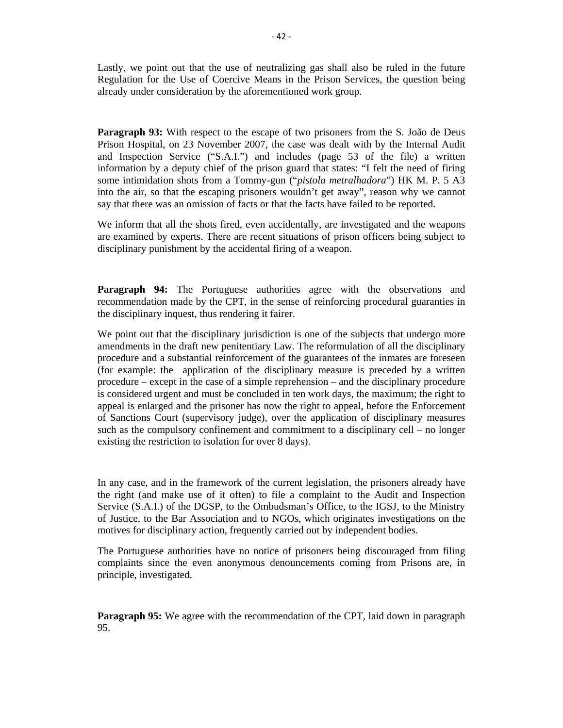Lastly, we point out that the use of neutralizing gas shall also be ruled in the future Regulation for the Use of Coercive Means in the Prison Services, the question being already under consideration by the aforementioned work group.

**Paragraph 93:** With respect to the escape of two prisoners from the S. João de Deus Prison Hospital, on 23 November 2007, the case was dealt with by the Internal Audit and Inspection Service ("S.A.I.") and includes (page 53 of the file) a written information by a deputy chief of the prison guard that states: "I felt the need of firing some intimidation shots from a Tommy-gun ("*pistola metralhadora*") HK M. P. 5 A3 into the air, so that the escaping prisoners wouldn't get away", reason why we cannot say that there was an omission of facts or that the facts have failed to be reported.

We inform that all the shots fired, even accidentally, are investigated and the weapons are examined by experts. There are recent situations of prison officers being subject to disciplinary punishment by the accidental firing of a weapon.

**Paragraph 94:** The Portuguese authorities agree with the observations and recommendation made by the CPT, in the sense of reinforcing procedural guaranties in the disciplinary inquest, thus rendering it fairer.

We point out that the disciplinary jurisdiction is one of the subjects that undergo more amendments in the draft new penitentiary Law. The reformulation of all the disciplinary procedure and a substantial reinforcement of the guarantees of the inmates are foreseen (for example: the application of the disciplinary measure is preceded by a written procedure – except in the case of a simple reprehension – and the disciplinary procedure is considered urgent and must be concluded in ten work days, the maximum; the right to appeal is enlarged and the prisoner has now the right to appeal, before the Enforcement of Sanctions Court (supervisory judge), over the application of disciplinary measures such as the compulsory confinement and commitment to a disciplinary cell – no longer existing the restriction to isolation for over 8 days).

In any case, and in the framework of the current legislation, the prisoners already have the right (and make use of it often) to file a complaint to the Audit and Inspection Service (S.A.I.) of the DGSP, to the Ombudsman's Office, to the IGSJ, to the Ministry of Justice, to the Bar Association and to NGOs, which originates investigations on the motives for disciplinary action, frequently carried out by independent bodies.

The Portuguese authorities have no notice of prisoners being discouraged from filing complaints since the even anonymous denouncements coming from Prisons are, in principle, investigated.

**Paragraph 95:** We agree with the recommendation of the CPT, laid down in paragraph 95.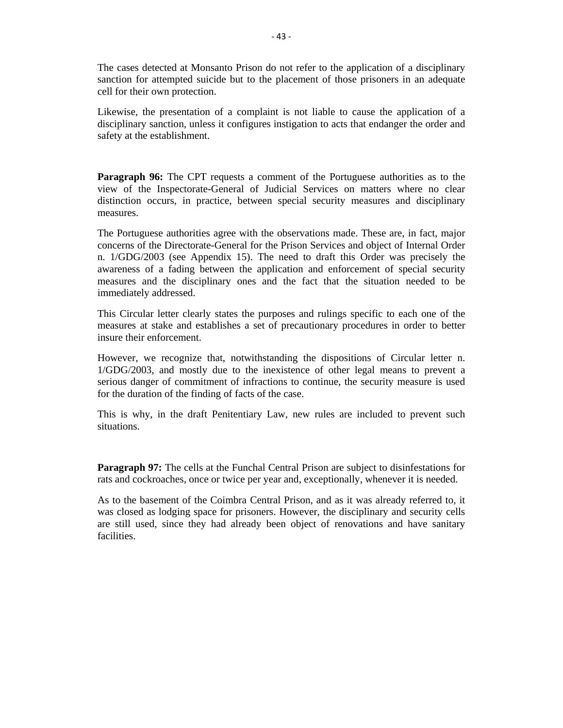The cases detected at Monsanto Prison do not refer to the application of a disciplinary sanction for attempted suicide but to the placement of those prisoners in an adequate cell for their own protection.

Likewise, the presentation of a complaint is not liable to cause the application of a disciplinary sanction, unless it configures instigation to acts that endanger the order and safety at the establishment.

Paragraph 96: The CPT requests a comment of the Portuguese authorities as to the view of the Inspectorate-General of Judicial Services on matters where no clear distinction occurs, in practice, between special security measures and disciplinary measures.

The Portuguese authorities agree with the observations made. These are, in fact, major concerns of the Directorate-General for the Prison Services and object of Internal Order n. 1/GDG/2003 (see Appendix 15). The need to draft this Order was precisely the awareness of a fading between the application and enforcement of special security measures and the disciplinary ones and the fact that the situation needed to be immediately addressed.

This Circular letter clearly states the purposes and rulings specific to each one of the measures at stake and establishes a set of precautionary procedures in order to better insure their enforcement.

However, we recognize that, notwithstanding the dispositions of Circular letter n. 1/GDG/2003, and mostly due to the inexistence of other legal means to prevent a serious danger of commitment of infractions to continue, the security measure is used for the duration of the finding of facts of the case.

This is why, in the draft Penitentiary Law, new rules are included to prevent such situations.

**Paragraph 97:** The cells at the Funchal Central Prison are subject to disinfestations for rats and cockroaches, once or twice per year and, exceptionally, whenever it is needed.

As to the basement of the Coimbra Central Prison, and as it was already referred to, it was closed as lodging space for prisoners. However, the disciplinary and security cells are still used, since they had already been object of renovations and have sanitary facilities.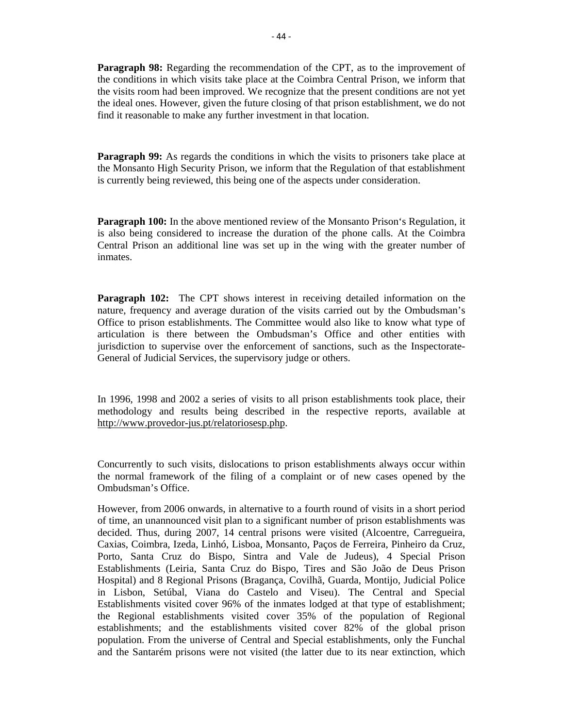**Paragraph 98:** Regarding the recommendation of the CPT, as to the improvement of the conditions in which visits take place at the Coimbra Central Prison, we inform that the visits room had been improved. We recognize that the present conditions are not yet the ideal ones. However, given the future closing of that prison establishment, we do not find it reasonable to make any further investment in that location.

**Paragraph 99:** As regards the conditions in which the visits to prisoners take place at the Monsanto High Security Prison, we inform that the Regulation of that establishment is currently being reviewed, this being one of the aspects under consideration.

**Paragraph 100:** In the above mentioned review of the Monsanto Prison's Regulation, it is also being considered to increase the duration of the phone calls. At the Coimbra Central Prison an additional line was set up in the wing with the greater number of inmates.

**Paragraph 102:** The CPT shows interest in receiving detailed information on the nature, frequency and average duration of the visits carried out by the Ombudsman's Office to prison establishments. The Committee would also like to know what type of articulation is there between the Ombudsman's Office and other entities with jurisdiction to supervise over the enforcement of sanctions, such as the Inspectorate-General of Judicial Services, the supervisory judge or others.

In 1996, 1998 and 2002 a series of visits to all prison establishments took place, their methodology and results being described in the respective reports, available at http://www.provedor-jus.pt/relatoriosesp.php.

Concurrently to such visits, dislocations to prison establishments always occur within the normal framework of the filing of a complaint or of new cases opened by the Ombudsman's Office.

However, from 2006 onwards, in alternative to a fourth round of visits in a short period of time, an unannounced visit plan to a significant number of prison establishments was decided. Thus, during 2007, 14 central prisons were visited (Alcoentre, Carregueira, Caxias, Coimbra, Izeda, Linhó, Lisboa, Monsanto, Paços de Ferreira, Pinheiro da Cruz, Porto, Santa Cruz do Bispo, Sintra and Vale de Judeus), 4 Special Prison Establishments (Leiria, Santa Cruz do Bispo, Tires and São João de Deus Prison Hospital) and 8 Regional Prisons (Bragança, Covilhã, Guarda, Montijo, Judicial Police in Lisbon, Setúbal, Viana do Castelo and Viseu). The Central and Special Establishments visited cover 96% of the inmates lodged at that type of establishment; the Regional establishments visited cover 35% of the population of Regional establishments; and the establishments visited cover 82% of the global prison population. From the universe of Central and Special establishments, only the Funchal and the Santarém prisons were not visited (the latter due to its near extinction, which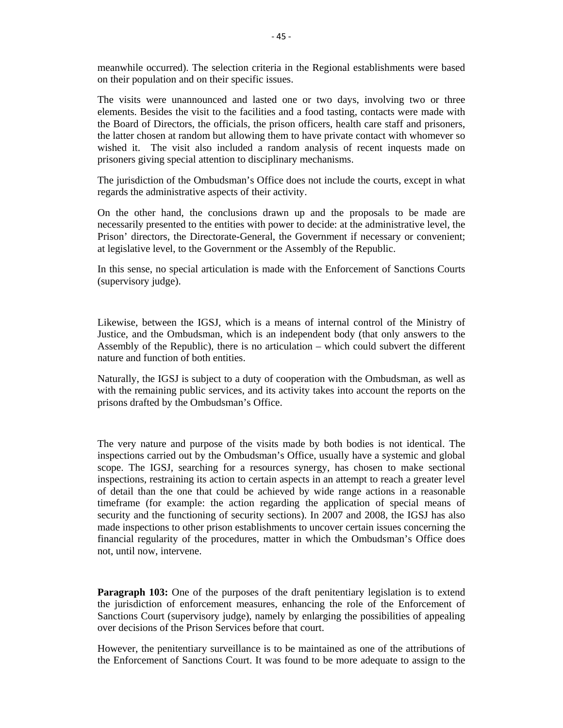meanwhile occurred). The selection criteria in the Regional establishments were based on their population and on their specific issues.

The visits were unannounced and lasted one or two days, involving two or three elements. Besides the visit to the facilities and a food tasting, contacts were made with the Board of Directors, the officials, the prison officers, health care staff and prisoners, the latter chosen at random but allowing them to have private contact with whomever so wished it. The visit also included a random analysis of recent inquests made on prisoners giving special attention to disciplinary mechanisms.

The jurisdiction of the Ombudsman's Office does not include the courts, except in what regards the administrative aspects of their activity.

On the other hand, the conclusions drawn up and the proposals to be made are necessarily presented to the entities with power to decide: at the administrative level, the Prison' directors, the Directorate-General, the Government if necessary or convenient; at legislative level, to the Government or the Assembly of the Republic.

In this sense, no special articulation is made with the Enforcement of Sanctions Courts (supervisory judge).

Likewise, between the IGSJ, which is a means of internal control of the Ministry of Justice, and the Ombudsman, which is an independent body (that only answers to the Assembly of the Republic), there is no articulation – which could subvert the different nature and function of both entities.

Naturally, the IGSJ is subject to a duty of cooperation with the Ombudsman, as well as with the remaining public services, and its activity takes into account the reports on the prisons drafted by the Ombudsman's Office.

The very nature and purpose of the visits made by both bodies is not identical. The inspections carried out by the Ombudsman's Office, usually have a systemic and global scope. The IGSJ, searching for a resources synergy, has chosen to make sectional inspections, restraining its action to certain aspects in an attempt to reach a greater level of detail than the one that could be achieved by wide range actions in a reasonable timeframe (for example: the action regarding the application of special means of security and the functioning of security sections). In 2007 and 2008, the IGSJ has also made inspections to other prison establishments to uncover certain issues concerning the financial regularity of the procedures, matter in which the Ombudsman's Office does not, until now, intervene.

**Paragraph 103:** One of the purposes of the draft penitentiary legislation is to extend the jurisdiction of enforcement measures, enhancing the role of the Enforcement of Sanctions Court (supervisory judge), namely by enlarging the possibilities of appealing over decisions of the Prison Services before that court.

However, the penitentiary surveillance is to be maintained as one of the attributions of the Enforcement of Sanctions Court. It was found to be more adequate to assign to the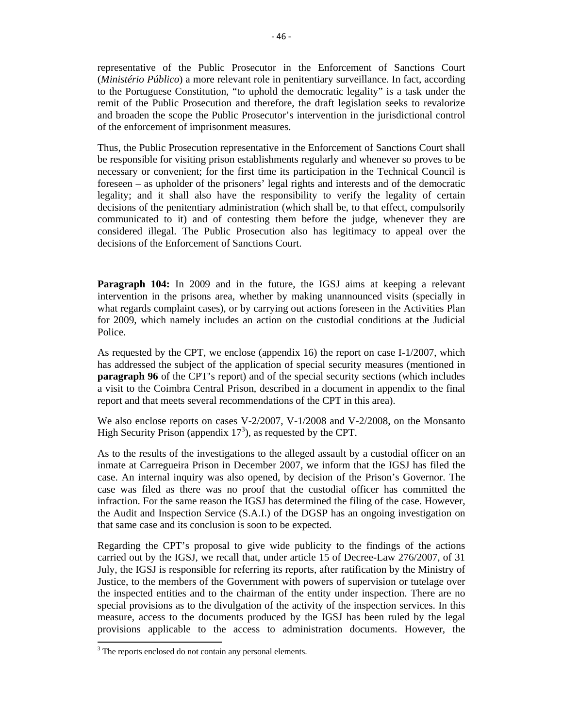representative of the Public Prosecutor in the Enforcement of Sanctions Court (*Ministério Público*) a more relevant role in penitentiary surveillance. In fact, according to the Portuguese Constitution, "to uphold the democratic legality" is a task under the remit of the Public Prosecution and therefore, the draft legislation seeks to revalorize and broaden the scope the Public Prosecutor's intervention in the jurisdictional control of the enforcement of imprisonment measures.

Thus, the Public Prosecution representative in the Enforcement of Sanctions Court shall be responsible for visiting prison establishments regularly and whenever so proves to be necessary or convenient; for the first time its participation in the Technical Council is foreseen – as upholder of the prisoners' legal rights and interests and of the democratic legality; and it shall also have the responsibility to verify the legality of certain decisions of the penitentiary administration (which shall be, to that effect, compulsorily communicated to it) and of contesting them before the judge, whenever they are considered illegal. The Public Prosecution also has legitimacy to appeal over the decisions of the Enforcement of Sanctions Court.

**Paragraph 104:** In 2009 and in the future, the IGSJ aims at keeping a relevant intervention in the prisons area, whether by making unannounced visits (specially in what regards complaint cases), or by carrying out actions foreseen in the Activities Plan for 2009, which namely includes an action on the custodial conditions at the Judicial Police.

As requested by the CPT, we enclose (appendix 16) the report on case I-1/2007, which has addressed the subject of the application of special security measures (mentioned in **paragraph 96** of the CPT's report) and of the special security sections (which includes a visit to the Coimbra Central Prison, described in a document in appendix to the final report and that meets several recommendations of the CPT in this area).

We also enclose reports on cases V-2/2007, V-1/2008 and V-2/2008, on the Monsanto High Security Prison (appendix  $17<sup>3</sup>$ ), as requested by the CPT.

As to the results of the investigations to the alleged assault by a custodial officer on an inmate at Carregueira Prison in December 2007, we inform that the IGSJ has filed the case. An internal inquiry was also opened, by decision of the Prison's Governor. The case was filed as there was no proof that the custodial officer has committed the infraction. For the same reason the IGSJ has determined the filing of the case. However, the Audit and Inspection Service (S.A.I.) of the DGSP has an ongoing investigation on that same case and its conclusion is soon to be expected.

Regarding the CPT's proposal to give wide publicity to the findings of the actions carried out by the IGSJ, we recall that, under article 15 of Decree-Law 276/2007, of 31 July, the IGSJ is responsible for referring its reports, after ratification by the Ministry of Justice, to the members of the Government with powers of supervision or tutelage over the inspected entities and to the chairman of the entity under inspection. There are no special provisions as to the divulgation of the activity of the inspection services. In this measure, access to the documents produced by the IGSJ has been ruled by the legal provisions applicable to the access to administration documents. However, the

<sup>&</sup>lt;sup>3</sup> The reports enclosed do not contain any personal elements.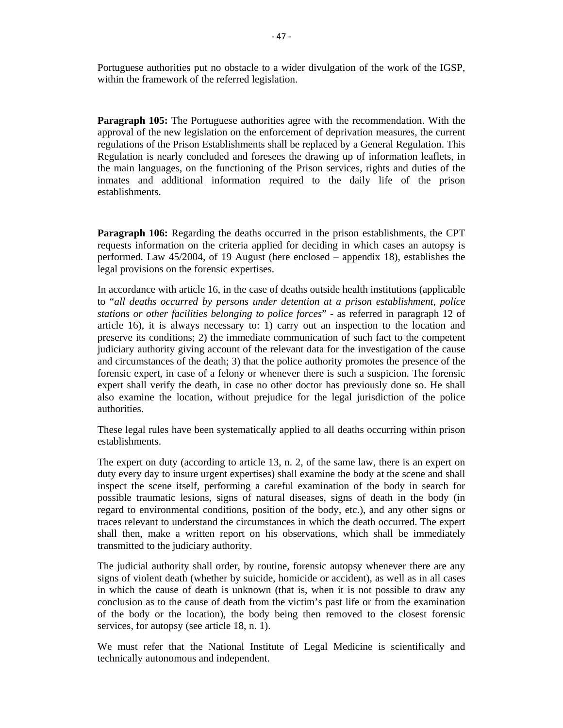Portuguese authorities put no obstacle to a wider divulgation of the work of the IGSP, within the framework of the referred legislation.

**Paragraph 105:** The Portuguese authorities agree with the recommendation. With the approval of the new legislation on the enforcement of deprivation measures, the current regulations of the Prison Establishments shall be replaced by a General Regulation. This Regulation is nearly concluded and foresees the drawing up of information leaflets, in the main languages, on the functioning of the Prison services, rights and duties of the inmates and additional information required to the daily life of the prison establishments.

**Paragraph 106:** Regarding the deaths occurred in the prison establishments, the CPT requests information on the criteria applied for deciding in which cases an autopsy is performed. Law 45/2004, of 19 August (here enclosed – appendix 18), establishes the legal provisions on the forensic expertises.

In accordance with article 16, in the case of deaths outside health institutions (applicable to "*all deaths occurred by persons under detention at a prison establishment, police stations or other facilities belonging to police forces*" - as referred in paragraph 12 of article 16), it is always necessary to: 1) carry out an inspection to the location and preserve its conditions; 2) the immediate communication of such fact to the competent judiciary authority giving account of the relevant data for the investigation of the cause and circumstances of the death; 3) that the police authority promotes the presence of the forensic expert, in case of a felony or whenever there is such a suspicion. The forensic expert shall verify the death, in case no other doctor has previously done so. He shall also examine the location, without prejudice for the legal jurisdiction of the police authorities.

These legal rules have been systematically applied to all deaths occurring within prison establishments.

The expert on duty (according to article 13, n. 2, of the same law, there is an expert on duty every day to insure urgent expertises) shall examine the body at the scene and shall inspect the scene itself, performing a careful examination of the body in search for possible traumatic lesions, signs of natural diseases, signs of death in the body (in regard to environmental conditions, position of the body, etc.), and any other signs or traces relevant to understand the circumstances in which the death occurred. The expert shall then, make a written report on his observations, which shall be immediately transmitted to the judiciary authority.

The judicial authority shall order, by routine, forensic autopsy whenever there are any signs of violent death (whether by suicide, homicide or accident), as well as in all cases in which the cause of death is unknown (that is, when it is not possible to draw any conclusion as to the cause of death from the victim's past life or from the examination of the body or the location), the body being then removed to the closest forensic services, for autopsy (see article 18, n. 1).

We must refer that the National Institute of Legal Medicine is scientifically and technically autonomous and independent.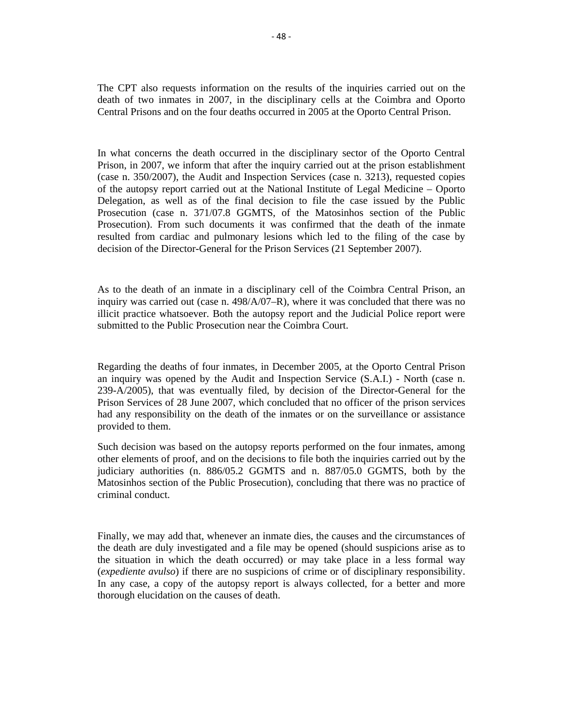The CPT also requests information on the results of the inquiries carried out on the death of two inmates in 2007, in the disciplinary cells at the Coimbra and Oporto Central Prisons and on the four deaths occurred in 2005 at the Oporto Central Prison.

In what concerns the death occurred in the disciplinary sector of the Oporto Central Prison, in 2007, we inform that after the inquiry carried out at the prison establishment (case n. 350/2007), the Audit and Inspection Services (case n. 3213), requested copies of the autopsy report carried out at the National Institute of Legal Medicine – Oporto Delegation, as well as of the final decision to file the case issued by the Public Prosecution (case n. 371/07.8 GGMTS, of the Matosinhos section of the Public Prosecution). From such documents it was confirmed that the death of the inmate resulted from cardiac and pulmonary lesions which led to the filing of the case by decision of the Director-General for the Prison Services (21 September 2007).

As to the death of an inmate in a disciplinary cell of the Coimbra Central Prison, an inquiry was carried out (case n. 498/A/07–R), where it was concluded that there was no illicit practice whatsoever. Both the autopsy report and the Judicial Police report were submitted to the Public Prosecution near the Coimbra Court.

Regarding the deaths of four inmates, in December 2005, at the Oporto Central Prison an inquiry was opened by the Audit and Inspection Service (S.A.I.) - North (case n. 239-A/2005), that was eventually filed, by decision of the Director-General for the Prison Services of 28 June 2007, which concluded that no officer of the prison services had any responsibility on the death of the inmates or on the surveillance or assistance provided to them.

Such decision was based on the autopsy reports performed on the four inmates, among other elements of proof, and on the decisions to file both the inquiries carried out by the judiciary authorities (n. 886/05.2 GGMTS and n. 887/05.0 GGMTS, both by the Matosinhos section of the Public Prosecution), concluding that there was no practice of criminal conduct.

Finally, we may add that, whenever an inmate dies, the causes and the circumstances of the death are duly investigated and a file may be opened (should suspicions arise as to the situation in which the death occurred) or may take place in a less formal way (*expediente avulso*) if there are no suspicions of crime or of disciplinary responsibility. In any case, a copy of the autopsy report is always collected, for a better and more thorough elucidation on the causes of death.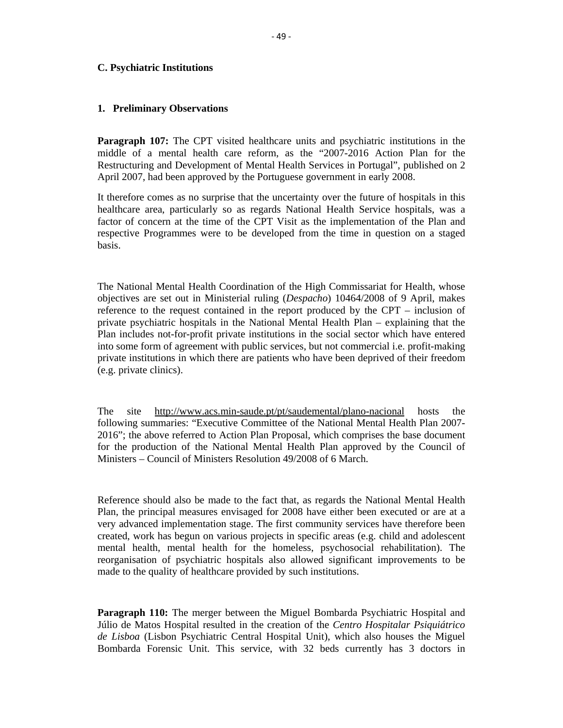#### **C. Psychiatric Institutions**

#### **1. Preliminary Observations**

**Paragraph 107:** The CPT visited healthcare units and psychiatric institutions in the middle of a mental health care reform, as the "2007-2016 Action Plan for the Restructuring and Development of Mental Health Services in Portugal", published on 2 April 2007, had been approved by the Portuguese government in early 2008.

It therefore comes as no surprise that the uncertainty over the future of hospitals in this healthcare area, particularly so as regards National Health Service hospitals, was a factor of concern at the time of the CPT Visit as the implementation of the Plan and respective Programmes were to be developed from the time in question on a staged basis.

The National Mental Health Coordination of the High Commissariat for Health, whose objectives are set out in Ministerial ruling (*Despacho*) 10464/2008 of 9 April, makes reference to the request contained in the report produced by the CPT – inclusion of private psychiatric hospitals in the National Mental Health Plan – explaining that the Plan includes not-for-profit private institutions in the social sector which have entered into some form of agreement with public services, but not commercial i.e. profit-making private institutions in which there are patients who have been deprived of their freedom (e.g. private clinics).

The site http://www.acs.min-saude.pt/pt/saudemental/plano-nacional hosts the following summaries: "Executive Committee of the National Mental Health Plan 2007- 2016"; the above referred to Action Plan Proposal, which comprises the base document for the production of the National Mental Health Plan approved by the Council of Ministers – Council of Ministers Resolution 49/2008 of 6 March.

Reference should also be made to the fact that, as regards the National Mental Health Plan, the principal measures envisaged for 2008 have either been executed or are at a very advanced implementation stage. The first community services have therefore been created, work has begun on various projects in specific areas (e.g. child and adolescent mental health, mental health for the homeless, psychosocial rehabilitation). The reorganisation of psychiatric hospitals also allowed significant improvements to be made to the quality of healthcare provided by such institutions.

**Paragraph 110:** The merger between the Miguel Bombarda Psychiatric Hospital and Júlio de Matos Hospital resulted in the creation of the *Centro Hospitalar Psiquiátrico de Lisboa* (Lisbon Psychiatric Central Hospital Unit), which also houses the Miguel Bombarda Forensic Unit. This service, with 32 beds currently has 3 doctors in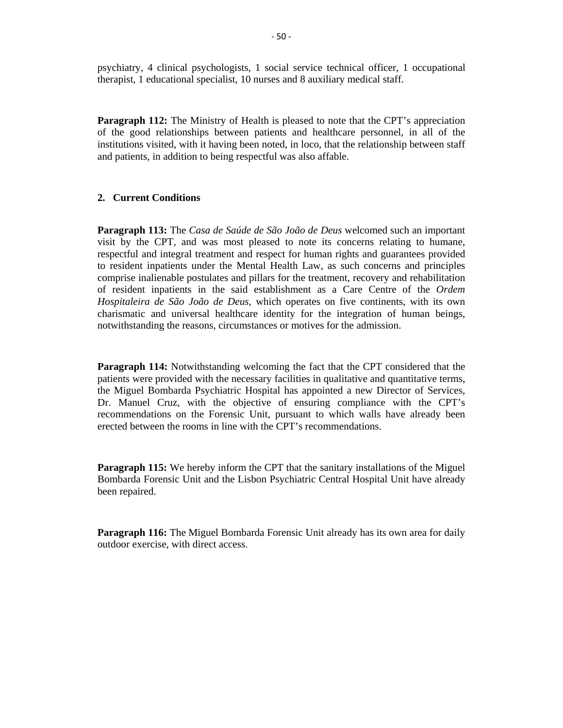psychiatry, 4 clinical psychologists, 1 social service technical officer, 1 occupational therapist, 1 educational specialist, 10 nurses and 8 auxiliary medical staff.

**Paragraph 112:** The Ministry of Health is pleased to note that the CPT's appreciation of the good relationships between patients and healthcare personnel, in all of the institutions visited, with it having been noted, in loco, that the relationship between staff and patients, in addition to being respectful was also affable.

# **2. Current Conditions**

**Paragraph 113:** The *Casa de Saúde de São João de Deus* welcomed such an important visit by the CPT, and was most pleased to note its concerns relating to humane, respectful and integral treatment and respect for human rights and guarantees provided to resident inpatients under the Mental Health Law, as such concerns and principles comprise inalienable postulates and pillars for the treatment, recovery and rehabilitation of resident inpatients in the said establishment as a Care Centre of the *Ordem Hospitaleira de São João de Deus*, which operates on five continents, with its own charismatic and universal healthcare identity for the integration of human beings, notwithstanding the reasons, circumstances or motives for the admission.

**Paragraph 114:** Notwithstanding welcoming the fact that the CPT considered that the patients were provided with the necessary facilities in qualitative and quantitative terms, the Miguel Bombarda Psychiatric Hospital has appointed a new Director of Services, Dr. Manuel Cruz, with the objective of ensuring compliance with the CPT's recommendations on the Forensic Unit, pursuant to which walls have already been erected between the rooms in line with the CPT's recommendations.

**Paragraph 115:** We hereby inform the CPT that the sanitary installations of the Miguel Bombarda Forensic Unit and the Lisbon Psychiatric Central Hospital Unit have already been repaired.

**Paragraph 116:** The Miguel Bombarda Forensic Unit already has its own area for daily outdoor exercise, with direct access.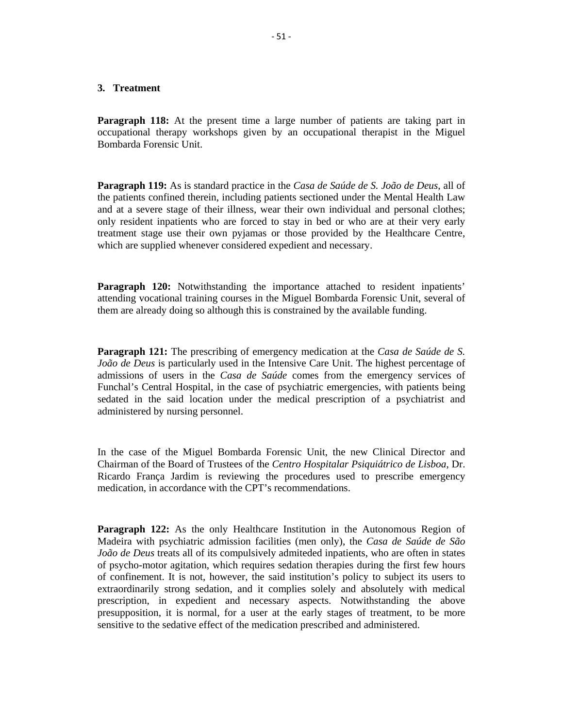# **3. Treatment**

**Paragraph 118:** At the present time a large number of patients are taking part in occupational therapy workshops given by an occupational therapist in the Miguel Bombarda Forensic Unit.

**Paragraph 119:** As is standard practice in the *Casa de Saúde de S. João de Deus*, all of the patients confined therein, including patients sectioned under the Mental Health Law and at a severe stage of their illness, wear their own individual and personal clothes; only resident inpatients who are forced to stay in bed or who are at their very early treatment stage use their own pyjamas or those provided by the Healthcare Centre, which are supplied whenever considered expedient and necessary.

**Paragraph 120:** Notwithstanding the importance attached to resident inpatients' attending vocational training courses in the Miguel Bombarda Forensic Unit, several of them are already doing so although this is constrained by the available funding.

**Paragraph 121:** The prescribing of emergency medication at the *Casa de Saúde de S. João de Deus* is particularly used in the Intensive Care Unit. The highest percentage of admissions of users in the *Casa de Saúde* comes from the emergency services of Funchal's Central Hospital, in the case of psychiatric emergencies, with patients being sedated in the said location under the medical prescription of a psychiatrist and administered by nursing personnel.

In the case of the Miguel Bombarda Forensic Unit, the new Clinical Director and Chairman of the Board of Trustees of the *Centro Hospitalar Psiquiátrico de Lisboa*, Dr. Ricardo França Jardim is reviewing the procedures used to prescribe emergency medication, in accordance with the CPT's recommendations.

**Paragraph 122:** As the only Healthcare Institution in the Autonomous Region of Madeira with psychiatric admission facilities (men only), the *Casa de Saúde de São João de Deus* treats all of its compulsively admiteded inpatients, who are often in states of psycho-motor agitation, which requires sedation therapies during the first few hours of confinement. It is not, however, the said institution's policy to subject its users to extraordinarily strong sedation, and it complies solely and absolutely with medical prescription, in expedient and necessary aspects. Notwithstanding the above presupposition, it is normal, for a user at the early stages of treatment, to be more sensitive to the sedative effect of the medication prescribed and administered.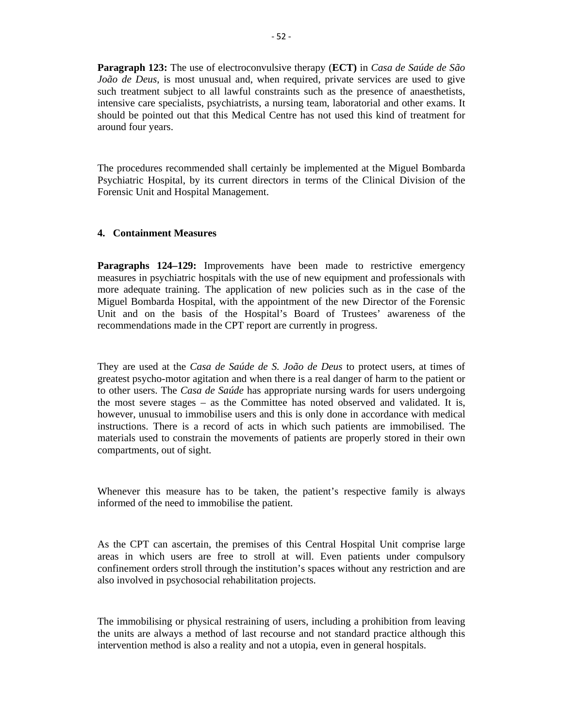**Paragraph 123:** The use of electroconvulsive therapy (**ECT)** in *Casa de Saúde de São João de Deus*, is most unusual and, when required, private services are used to give such treatment subject to all lawful constraints such as the presence of anaesthetists, intensive care specialists, psychiatrists, a nursing team, laboratorial and other exams. It should be pointed out that this Medical Centre has not used this kind of treatment for around four years.

The procedures recommended shall certainly be implemented at the Miguel Bombarda Psychiatric Hospital, by its current directors in terms of the Clinical Division of the Forensic Unit and Hospital Management.

# **4. Containment Measures**

**Paragraphs 124–129:** Improvements have been made to restrictive emergency measures in psychiatric hospitals with the use of new equipment and professionals with more adequate training. The application of new policies such as in the case of the Miguel Bombarda Hospital, with the appointment of the new Director of the Forensic Unit and on the basis of the Hospital's Board of Trustees' awareness of the recommendations made in the CPT report are currently in progress.

They are used at the *Casa de Saúde de S. João de Deus* to protect users, at times of greatest psycho-motor agitation and when there is a real danger of harm to the patient or to other users. The *Casa de Saúde* has appropriate nursing wards for users undergoing the most severe stages – as the Committee has noted observed and validated. It is, however, unusual to immobilise users and this is only done in accordance with medical instructions. There is a record of acts in which such patients are immobilised. The materials used to constrain the movements of patients are properly stored in their own compartments, out of sight.

Whenever this measure has to be taken, the patient's respective family is always informed of the need to immobilise the patient.

As the CPT can ascertain, the premises of this Central Hospital Unit comprise large areas in which users are free to stroll at will. Even patients under compulsory confinement orders stroll through the institution's spaces without any restriction and are also involved in psychosocial rehabilitation projects.

The immobilising or physical restraining of users, including a prohibition from leaving the units are always a method of last recourse and not standard practice although this intervention method is also a reality and not a utopia, even in general hospitals.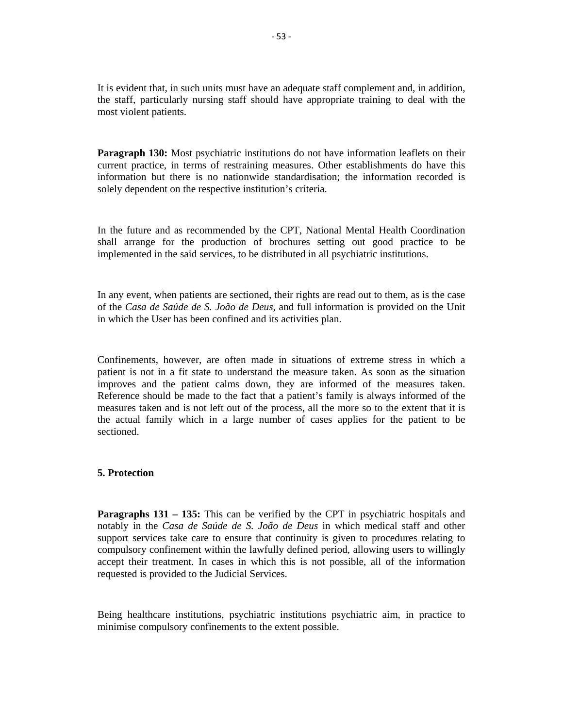It is evident that, in such units must have an adequate staff complement and, in addition, the staff, particularly nursing staff should have appropriate training to deal with the most violent patients.

**Paragraph 130:** Most psychiatric institutions do not have information leaflets on their current practice, in terms of restraining measures. Other establishments do have this information but there is no nationwide standardisation; the information recorded is solely dependent on the respective institution's criteria.

In the future and as recommended by the CPT, National Mental Health Coordination shall arrange for the production of brochures setting out good practice to be implemented in the said services, to be distributed in all psychiatric institutions.

In any event, when patients are sectioned, their rights are read out to them, as is the case of the *Casa de Saúde de S. João de Deus*, and full information is provided on the Unit in which the User has been confined and its activities plan.

Confinements, however, are often made in situations of extreme stress in which a patient is not in a fit state to understand the measure taken. As soon as the situation improves and the patient calms down, they are informed of the measures taken. Reference should be made to the fact that a patient's family is always informed of the measures taken and is not left out of the process, all the more so to the extent that it is the actual family which in a large number of cases applies for the patient to be sectioned.

#### **5. Protection**

**Paragraphs 131 – 135:** This can be verified by the CPT in psychiatric hospitals and notably in the *Casa de Saúde de S. João de Deus* in which medical staff and other support services take care to ensure that continuity is given to procedures relating to compulsory confinement within the lawfully defined period, allowing users to willingly accept their treatment. In cases in which this is not possible, all of the information requested is provided to the Judicial Services.

Being healthcare institutions, psychiatric institutions psychiatric aim, in practice to minimise compulsory confinements to the extent possible.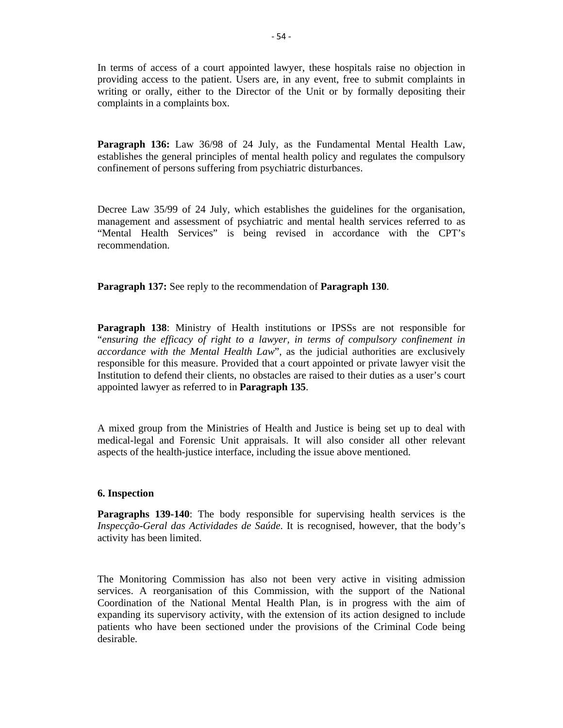In terms of access of a court appointed lawyer, these hospitals raise no objection in providing access to the patient. Users are, in any event, free to submit complaints in writing or orally, either to the Director of the Unit or by formally depositing their complaints in a complaints box.

**Paragraph 136:** Law 36/98 of 24 July, as the Fundamental Mental Health Law, establishes the general principles of mental health policy and regulates the compulsory confinement of persons suffering from psychiatric disturbances.

Decree Law 35/99 of 24 July, which establishes the guidelines for the organisation, management and assessment of psychiatric and mental health services referred to as "Mental Health Services" is being revised in accordance with the CPT's recommendation.

**Paragraph 137:** See reply to the recommendation of **Paragraph 130**.

**Paragraph 138**: Ministry of Health institutions or IPSSs are not responsible for "*ensuring the efficacy of right to a lawyer, in terms of compulsory confinement in accordance with the Mental Health Law*", as the judicial authorities are exclusively responsible for this measure. Provided that a court appointed or private lawyer visit the Institution to defend their clients, no obstacles are raised to their duties as a user's court appointed lawyer as referred to in **Paragraph 135**.

A mixed group from the Ministries of Health and Justice is being set up to deal with medical-legal and Forensic Unit appraisals. It will also consider all other relevant aspects of the health-justice interface, including the issue above mentioned.

#### **6. Inspection**

**Paragraphs 139-140**: The body responsible for supervising health services is the *Inspecção-Geral das Actividades de Saúde*. It is recognised, however, that the body's activity has been limited.

The Monitoring Commission has also not been very active in visiting admission services. A reorganisation of this Commission, with the support of the National Coordination of the National Mental Health Plan, is in progress with the aim of expanding its supervisory activity, with the extension of its action designed to include patients who have been sectioned under the provisions of the Criminal Code being desirable.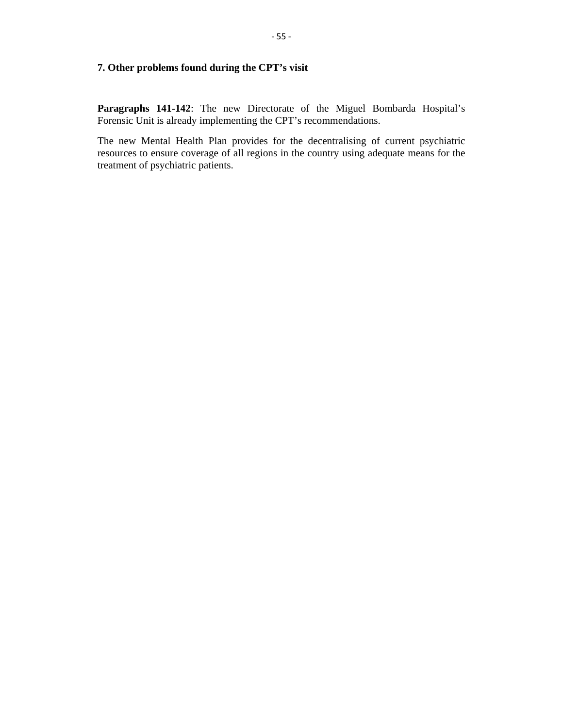# **7. Other problems found during the CPT's visit**

**Paragraphs 141-142**: The new Directorate of the Miguel Bombarda Hospital's Forensic Unit is already implementing the CPT's recommendations.

The new Mental Health Plan provides for the decentralising of current psychiatric resources to ensure coverage of all regions in the country using adequate means for the treatment of psychiatric patients.